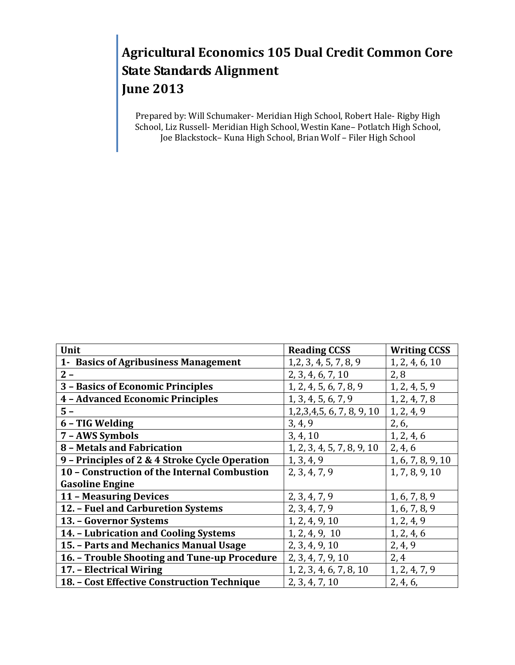# **Agricultural Economics 105 Dual Credit Common Core State Standards Alignment June 2013**

Prepared by: Will Schumaker- Meridian High School, Robert Hale- Rigby High School, Liz Russell- Meridian High School, Westin Kane– Potlatch High School, Joe Blackstock– Kuna High School, Brian Wolf – Filer High School

| Unit                                           | <b>Reading CCSS</b>        | <b>Writing CCSS</b> |
|------------------------------------------------|----------------------------|---------------------|
| 1- Basics of Agribusiness Management           | 1, 2, 3, 4, 5, 7, 8, 9     | 1, 2, 4, 6, 10      |
| $2 -$                                          | 2, 3, 4, 6, 7, 10          | 2,8                 |
| 3 - Basics of Economic Principles              | 1, 2, 4, 5, 6, 7, 8, 9     | 1, 2, 4, 5, 9       |
| <b>4 - Advanced Economic Principles</b>        | 1, 3, 4, 5, 6, 7, 9        | 1, 2, 4, 7, 8       |
| $5 -$                                          | 1,2,3,4,5, 6, 7, 8, 9, 10  | 1, 2, 4, 9          |
| 6 - TIG Welding                                | 3, 4, 9                    | 2, 6,               |
| 7 - AWS Symbols                                | 3, 4, 10                   | 1, 2, 4, 6          |
| 8 - Metals and Fabrication                     | 1, 2, 3, 4, 5, 7, 8, 9, 10 | 2, 4, 6             |
| 9 - Principles of 2 & 4 Stroke Cycle Operation | 1, 3, 4, 9                 | 1, 6, 7, 8, 9, 10   |
| 10 - Construction of the Internal Combustion   | 2, 3, 4, 7, 9              | 1, 7, 8, 9, 10      |
| <b>Gasoline Engine</b>                         |                            |                     |
| 11 - Measuring Devices                         | 2, 3, 4, 7, 9              | 1, 6, 7, 8, 9       |
| 12. - Fuel and Carburetion Systems             | 2, 3, 4, 7, 9              | 1, 6, 7, 8, 9       |
| 13. - Governor Systems                         | 1, 2, 4, 9, 10             | 1, 2, 4, 9          |
| 14. - Lubrication and Cooling Systems          | 1, 2, 4, 9, 10             | 1, 2, 4, 6          |
| 15. - Parts and Mechanics Manual Usage         | 2, 3, 4, 9, 10             | 2, 4, 9             |
| 16. - Trouble Shooting and Tune-up Procedure   | 2, 3, 4, 7, 9, 10          | 2,4                 |
| 17. - Electrical Wiring                        | 1, 2, 3, 4, 6, 7, 8, 10    | 1, 2, 4, 7, 9       |
| 18. - Cost Effective Construction Technique    | 2, 3, 4, 7, 10             | 2, 4, 6,            |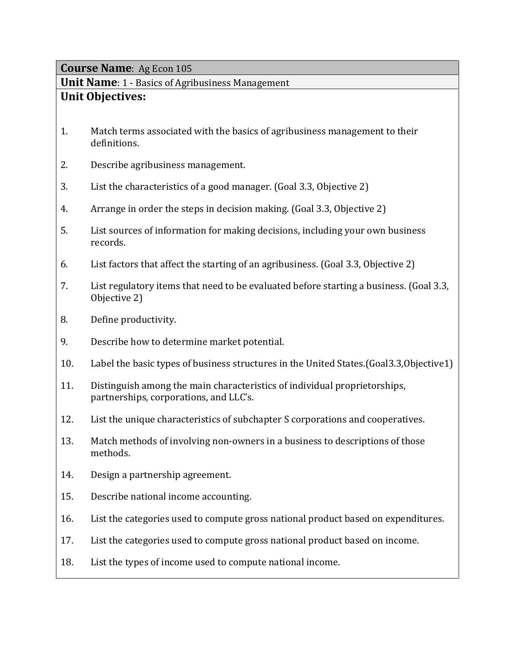**Unit Name**: 1 - Basics of Agribusiness Management **Unit Objectives:**

- 1. Match terms associated with the basics of agribusiness management to their definitions.
- 2. Describe agribusiness management.
- 3. List the characteristics of a good manager. (Goal 3.3, Objective 2)
- 4. Arrange in order the steps in decision making. (Goal 3.3, Objective 2)
- 5. List sources of information for making decisions, including your own business records.
- 6. List factors that affect the starting of an agribusiness. (Goal 3.3, Objective 2)
- 7. List regulatory items that need to be evaluated before starting a business. (Goal 3.3, Objective 2)
- 8. Define productivity.
- 9. Describe how to determine market potential.
- 10. Label the basic types of business structures in the United States.(Goal3.3,Objective1)
- 11. Distinguish among the main characteristics of individual proprietorships, partnerships, corporations, and LLC's.
- 12. List the unique characteristics of subchapter S corporations and cooperatives.
- 13. Match methods of involving non-owners in a business to descriptions of those methods.
- 14. Design a partnership agreement.
- 15. Describe national income accounting.
- 16. List the categories used to compute gross national product based on expenditures.
- 17. List the categories used to compute gross national product based on income.
- 18. List the types of income used to compute national income.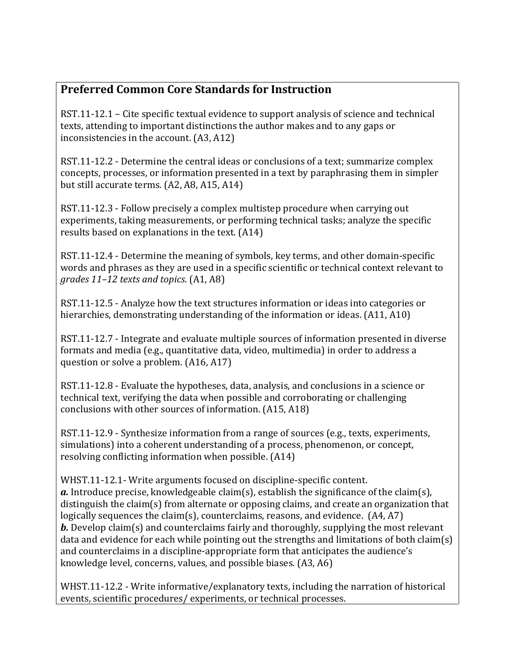## **Preferred Common Core Standards for Instruction**

RST.11-12.1 – Cite specific textual evidence to support analysis of science and technical texts, attending to important distinctions the author makes and to any gaps or inconsistencies in the account. (A3, A12)

RST.11-12.2 - Determine the central ideas or conclusions of a text; summarize complex concepts, processes, or information presented in a text by paraphrasing them in simpler but still accurate terms. (A2, A8, A15, A14)

RST.11-12.3 - Follow precisely a complex multistep procedure when carrying out experiments, taking measurements, or performing technical tasks; analyze the specific results based on explanations in the text. (A14)

RST.11-12.4 - Determine the meaning of symbols, key terms, and other domain-specific words and phrases as they are used in a specific scientific or technical context relevant to *grades 11–12 texts and topics*. (A1, A8)

RST.11-12.5 - Analyze how the text structures information or ideas into categories or hierarchies, demonstrating understanding of the information or ideas. (A11, A10)

RST.11-12.7 - Integrate and evaluate multiple sources of information presented in diverse formats and media (e.g., quantitative data, video, multimedia) in order to address a question or solve a problem. (A16, A17)

RST.11-12.8 - Evaluate the hypotheses, data, analysis, and conclusions in a science or technical text, verifying the data when possible and corroborating or challenging conclusions with other sources of information. (A15, A18)

RST.11-12.9 - Synthesize information from a range of sources (e.g., texts, experiments, simulations) into a coherent understanding of a process, phenomenon, or concept, resolving conflicting information when possible. (A14)

WHST.11-12.1- Write arguments focused on discipline-specific content. *a.* Introduce precise, knowledgeable claim(s), establish the significance of the claim(s), distinguish the claim(s) from alternate or opposing claims, and create an organization that logically sequences the claim(s), counterclaims, reasons, and evidence. (A4, A7) *b.* Develop claim(s) and counterclaims fairly and thoroughly, supplying the most relevant data and evidence for each while pointing out the strengths and limitations of both claim(s) and counterclaims in a discipline-appropriate form that anticipates the audience's knowledge level, concerns, values, and possible biases. (A3, A6)

WHST.11-12.2 - Write informative/explanatory texts, including the narration of historical events, scientific procedures/ experiments, or technical processes.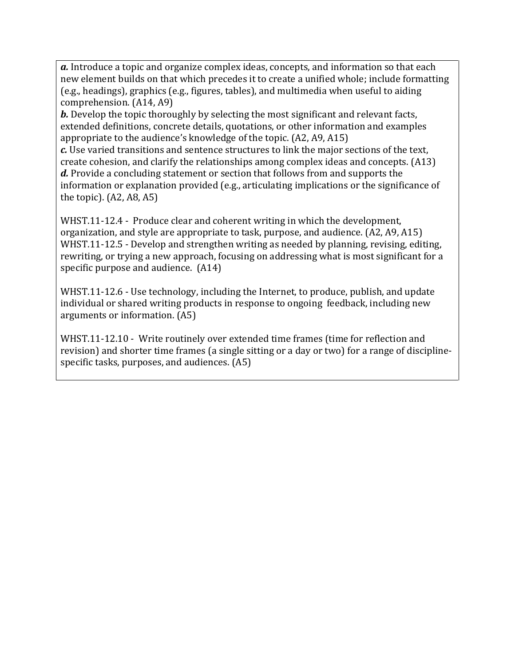*a.* Introduce a topic and organize complex ideas, concepts, and information so that each new element builds on that which precedes it to create a unified whole; include formatting (e.g., headings), graphics (e.g., figures, tables), and multimedia when useful to aiding comprehension. (A14, A9)

*b.* Develop the topic thoroughly by selecting the most significant and relevant facts, extended definitions, concrete details, quotations, or other information and examples appropriate to the audience's knowledge of the topic. (A2, A9, A15)

*c.* Use varied transitions and sentence structures to link the major sections of the text, create cohesion, and clarify the relationships among complex ideas and concepts. (A13) *d.* Provide a concluding statement or section that follows from and supports the information or explanation provided (e.g., articulating implications or the significance of the topic). (A2, A8, A5)

WHST.11-12.4 - Produce clear and coherent writing in which the development, organization, and style are appropriate to task, purpose, and audience. (A2, A9, A15) WHST.11-12.5 - Develop and strengthen writing as needed by planning, revising, editing, rewriting, or trying a new approach, focusing on addressing what is most significant for a specific purpose and audience. (A14)

WHST.11-12.6 - Use technology, including the Internet, to produce, publish, and update individual or shared writing products in response to ongoing feedback, including new arguments or information. (A5)

WHST.11-12.10 - Write routinely over extended time frames (time for reflection and revision) and shorter time frames (a single sitting or a day or two) for a range of disciplinespecific tasks, purposes, and audiences. (A5)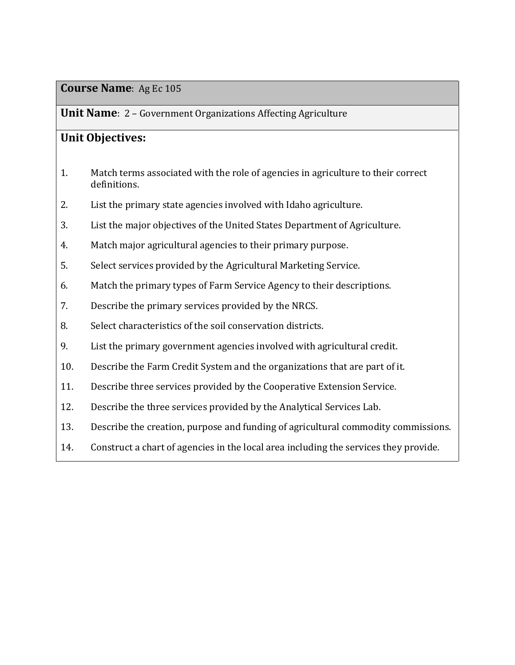#### **Unit Name**: 2 – Government Organizations Affecting Agriculture

### **Unit Objectives:**

- 1. Match terms associated with the role of agencies in agriculture to their correct definitions.
- 2. List the primary state agencies involved with Idaho agriculture.
- 3. List the major objectives of the United States Department of Agriculture.
- 4. Match major agricultural agencies to their primary purpose.
- 5. Select services provided by the Agricultural Marketing Service.
- 6. Match the primary types of Farm Service Agency to their descriptions.
- 7. Describe the primary services provided by the NRCS.
- 8. Select characteristics of the soil conservation districts.
- 9. List the primary government agencies involved with agricultural credit.
- 10. Describe the Farm Credit System and the organizations that are part of it.
- 11. Describe three services provided by the Cooperative Extension Service.
- 12. Describe the three services provided by the Analytical Services Lab.
- 13. Describe the creation, purpose and funding of agricultural commodity commissions.
- 14. Construct a chart of agencies in the local area including the services they provide.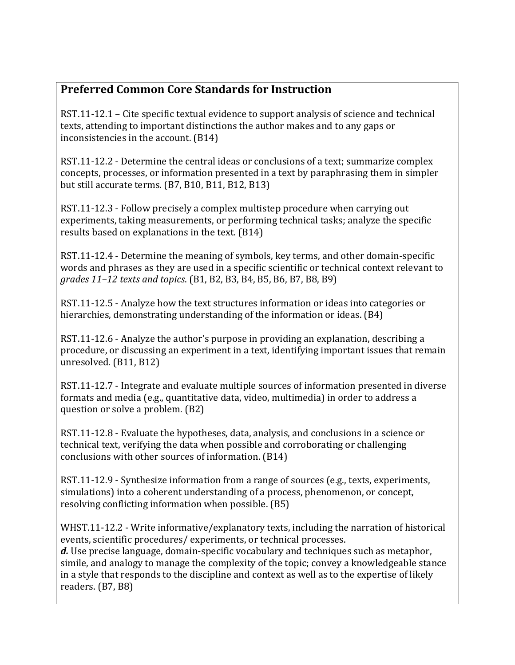## **Preferred Common Core Standards for Instruction**

RST.11-12.1 – Cite specific textual evidence to support analysis of science and technical texts, attending to important distinctions the author makes and to any gaps or inconsistencies in the account. (B14)

RST.11-12.2 - Determine the central ideas or conclusions of a text; summarize complex concepts, processes, or information presented in a text by paraphrasing them in simpler but still accurate terms. (B7, B10, B11, B12, B13)

RST.11-12.3 - Follow precisely a complex multistep procedure when carrying out experiments, taking measurements, or performing technical tasks; analyze the specific results based on explanations in the text. (B14)

RST.11-12.4 - Determine the meaning of symbols, key terms, and other domain-specific words and phrases as they are used in a specific scientific or technical context relevant to *grades 11–12 texts and topics*. (B1, B2, B3, B4, B5, B6, B7, B8, B9)

RST.11-12.5 - Analyze how the text structures information or ideas into categories or hierarchies, demonstrating understanding of the information or ideas. (B4)

RST.11-12.6 - Analyze the author's purpose in providing an explanation, describing a procedure, or discussing an experiment in a text, identifying important issues that remain unresolved. (B11, B12)

RST.11-12.7 - Integrate and evaluate multiple sources of information presented in diverse formats and media (e.g., quantitative data, video, multimedia) in order to address a question or solve a problem. (B2)

RST.11-12.8 - Evaluate the hypotheses, data, analysis, and conclusions in a science or technical text, verifying the data when possible and corroborating or challenging conclusions with other sources of information. (B14)

RST.11-12.9 - Synthesize information from a range of sources (e.g., texts, experiments, simulations) into a coherent understanding of a process, phenomenon, or concept, resolving conflicting information when possible. (B5)

WHST.11-12.2 - Write informative/explanatory texts, including the narration of historical events, scientific procedures/ experiments, or technical processes.

*d.* Use precise language, domain-specific vocabulary and techniques such as metaphor, simile, and analogy to manage the complexity of the topic; convey a knowledgeable stance in a style that responds to the discipline and context as well as to the expertise of likely readers. (B7, B8)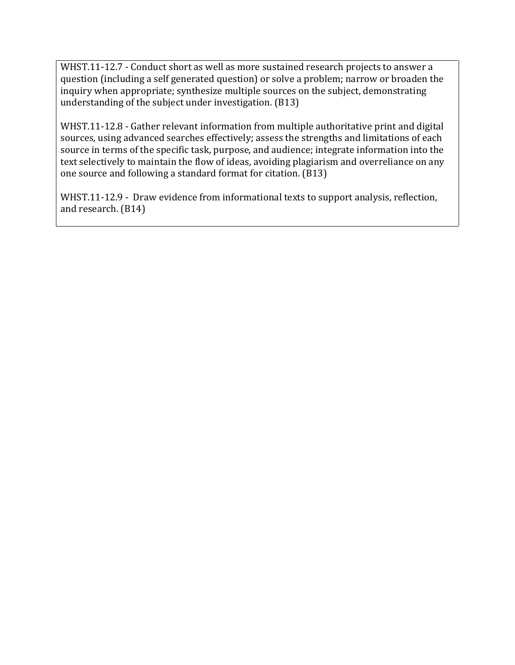WHST.11-12.7 - Conduct short as well as more sustained research projects to answer a question (including a self generated question) or solve a problem; narrow or broaden the inquiry when appropriate; synthesize multiple sources on the subject, demonstrating understanding of the subject under investigation. (B13)

WHST.11-12.8 - Gather relevant information from multiple authoritative print and digital sources, using advanced searches effectively; assess the strengths and limitations of each source in terms of the specific task, purpose, and audience; integrate information into the text selectively to maintain the flow of ideas, avoiding plagiarism and overreliance on any one source and following a standard format for citation. (B13)

WHST.11-12.9 - Draw evidence from informational texts to support analysis, reflection, and research. (B14)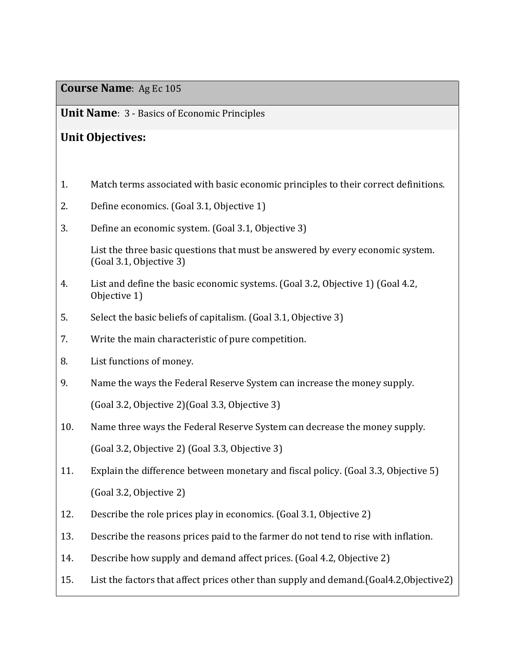**Unit Name**: 3 - Basics of Economic Principles

## **Unit Objectives:**

- 1. Match terms associated with basic economic principles to their correct definitions.
- 2. Define economics. (Goal 3.1, Objective 1)
- 3. Define an economic system. (Goal 3.1, Objective 3)

List the three basic questions that must be answered by every economic system. (Goal 3.1, Objective 3)

- 4. List and define the basic economic systems. (Goal 3.2, Objective 1) (Goal 4.2, Objective 1)
- 5. Select the basic beliefs of capitalism. (Goal 3.1, Objective 3)
- 7. Write the main characteristic of pure competition.
- 8. List functions of money.
- 9. Name the ways the Federal Reserve System can increase the money supply. (Goal 3.2, Objective 2)(Goal 3.3, Objective 3)
- 10. Name three ways the Federal Reserve System can decrease the money supply. (Goal 3.2, Objective 2) (Goal 3.3, Objective 3)
- 11. Explain the difference between monetary and fiscal policy. (Goal 3.3, Objective 5) (Goal 3.2, Objective 2)
- 12. Describe the role prices play in economics. (Goal 3.1, Objective 2)
- 13. Describe the reasons prices paid to the farmer do not tend to rise with inflation.
- 14. Describe how supply and demand affect prices. (Goal 4.2, Objective 2)
- 15. List the factors that affect prices other than supply and demand.(Goal4.2,Objective2)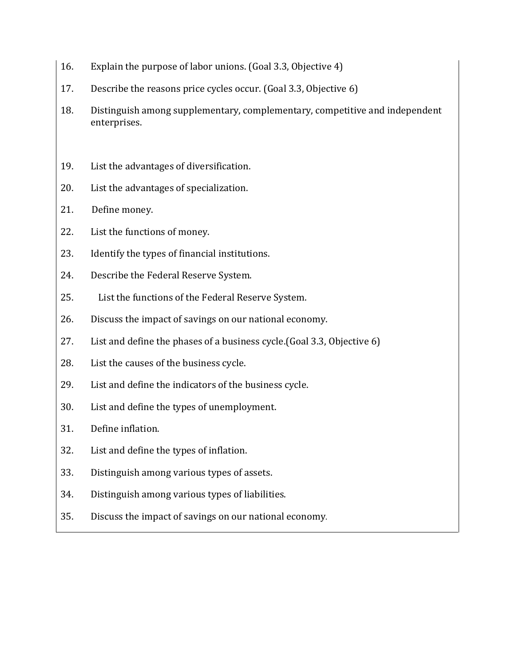- 16. Explain the purpose of labor unions. (Goal 3.3, Objective 4)
- 17. Describe the reasons price cycles occur. (Goal 3.3, Objective 6)
- 18. Distinguish among supplementary, complementary, competitive and independent enterprises.
- 19. List the advantages of diversification.
- 20. List the advantages of specialization.
- 21. Define money.
- 22. List the functions of money.
- 23. Identify the types of financial institutions.
- 24. Describe the Federal Reserve System.
- 25. List the functions of the Federal Reserve System.
- 26. Discuss the impact of savings on our national economy.
- 27. List and define the phases of a business cycle.(Goal 3.3, Objective 6)
- 28. List the causes of the business cycle.
- 29. List and define the indicators of the business cycle.
- 30. List and define the types of unemployment.
- 31. Define inflation.
- 32. List and define the types of inflation.
- 33. Distinguish among various types of assets.
- 34. Distinguish among various types of liabilities.
- 35. Discuss the impact of savings on our national economy.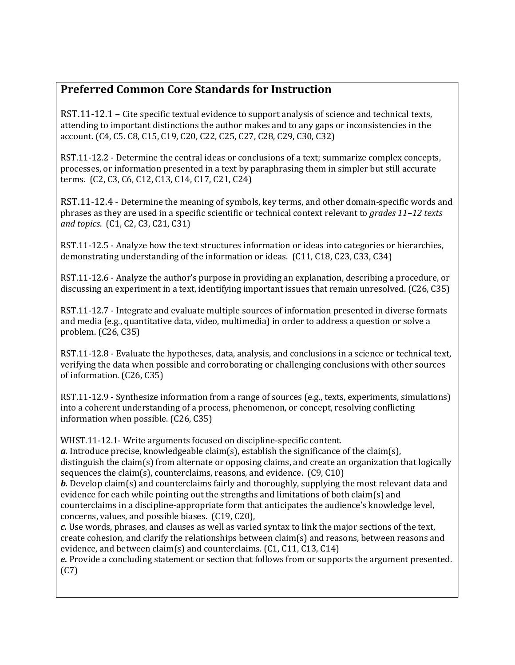## **Preferred Common Core Standards for Instruction**

RST.11-12.1 – Cite specific textual evidence to support analysis of science and technical texts, attending to important distinctions the author makes and to any gaps or inconsistencies in the account. (C4, C5. C8, C15, C19, C20, C22, C25, C27, C28, C29, C30, C32)

RST.11-12.2 - Determine the central ideas or conclusions of a text; summarize complex concepts, processes, or information presented in a text by paraphrasing them in simpler but still accurate terms. (C2, C3, C6, C12, C13, C14, C17, C21, C24)

RST.11-12.4 - Determine the meaning of symbols, key terms, and other domain-specific words and phrases as they are used in a specific scientific or technical context relevant to *grades 11–12 texts and topics*. (C1, C2, C3, C21, C31)

RST.11-12.5 - Analyze how the text structures information or ideas into categories or hierarchies, demonstrating understanding of the information or ideas. (C11, C18, C23, C33, C34)

RST.11-12.6 - Analyze the author's purpose in providing an explanation, describing a procedure, or discussing an experiment in a text, identifying important issues that remain unresolved. (C26, C35)

RST.11-12.7 - Integrate and evaluate multiple sources of information presented in diverse formats and media (e.g., quantitative data, video, multimedia) in order to address a question or solve a problem. (C26, C35)

RST.11-12.8 - Evaluate the hypotheses, data, analysis, and conclusions in a science or technical text, verifying the data when possible and corroborating or challenging conclusions with other sources of information. (C26, C35)

RST.11-12.9 - Synthesize information from a range of sources (e.g., texts, experiments, simulations) into a coherent understanding of a process, phenomenon, or concept, resolving conflicting information when possible. (C26, C35)

WHST.11-12.1- Write arguments focused on discipline-specific content. *a.* Introduce precise, knowledgeable claim(s), establish the significance of the claim(s), distinguish the claim(s) from alternate or opposing claims, and create an organization that logically sequences the claim(s), counterclaims, reasons, and evidence. (C9, C10) *b.* Develop claim(s) and counterclaims fairly and thoroughly, supplying the most relevant data and

evidence for each while pointing out the strengths and limitations of both claim(s) and counterclaims in a discipline-appropriate form that anticipates the audience's knowledge level, concerns, values, and possible biases. (C19, C20),

*c.* Use words, phrases, and clauses as well as varied syntax to link the major sections of the text, create cohesion, and clarify the relationships between claim(s) and reasons, between reasons and evidence, and between claim(s) and counterclaims. (C1, C11, C13, C14)

*e.* Provide a concluding statement or section that follows from or supports the argument presented. (C7)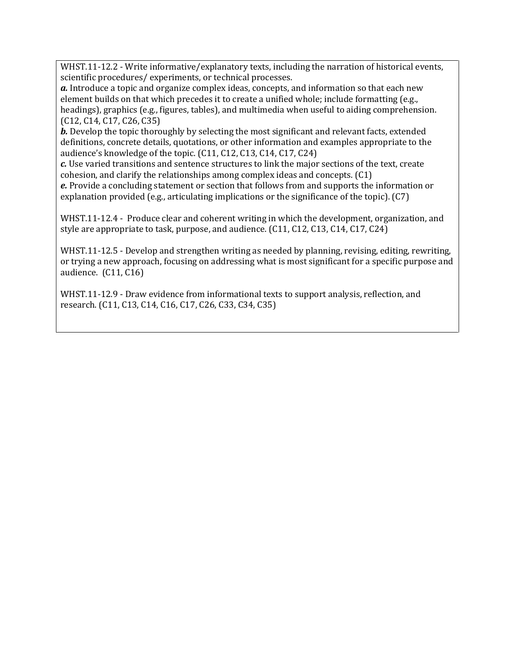WHST.11-12.2 - Write informative/explanatory texts, including the narration of historical events, scientific procedures/ experiments, or technical processes.

*a.* Introduce a topic and organize complex ideas, concepts, and information so that each new element builds on that which precedes it to create a unified whole; include formatting (e.g., headings), graphics (e.g., figures, tables), and multimedia when useful to aiding comprehension. (C12, C14, C17, C26, C35)

*b.* Develop the topic thoroughly by selecting the most significant and relevant facts, extended definitions, concrete details, quotations, or other information and examples appropriate to the audience's knowledge of the topic. (C11, C12, C13, C14, C17, C24)

*c.* Use varied transitions and sentence structures to link the major sections of the text, create cohesion, and clarify the relationships among complex ideas and concepts. (C1)

*e.* Provide a concluding statement or section that follows from and supports the information or explanation provided (e.g., articulating implications or the significance of the topic). (C7)

WHST.11-12.4 - Produce clear and coherent writing in which the development, organization, and style are appropriate to task, purpose, and audience. (C11, C12, C13, C14, C17, C24)

WHST.11-12.5 - Develop and strengthen writing as needed by planning, revising, editing, rewriting, or trying a new approach, focusing on addressing what is most significant for a specific purpose and audience. (C11, C16)

WHST.11-12.9 - Draw evidence from informational texts to support analysis, reflection, and research. (C11, C13, C14, C16, C17, C26, C33, C34, C35)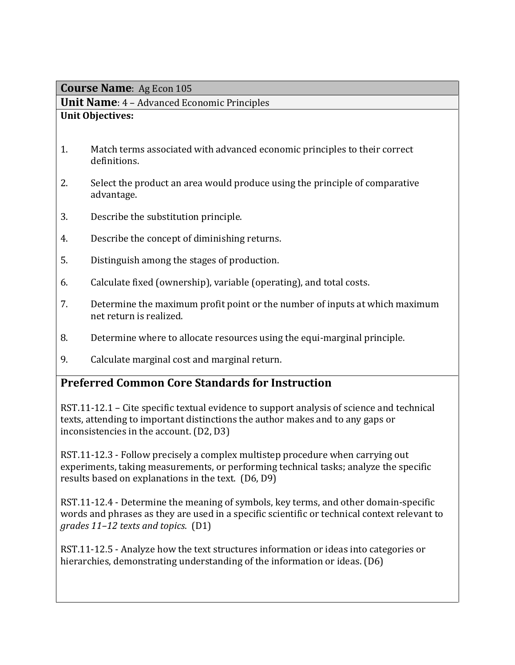**Unit Name**: 4 – Advanced Economic Principles

### **Unit Objectives:**

- 1. Match terms associated with advanced economic principles to their correct definitions.
- 2. Select the product an area would produce using the principle of comparative advantage.
- 3. Describe the substitution principle.
- 4. Describe the concept of diminishing returns.
- 5. Distinguish among the stages of production.
- 6. Calculate fixed (ownership), variable (operating), and total costs.
- 7. Determine the maximum profit point or the number of inputs at which maximum net return is realized.
- 8. Determine where to allocate resources using the equi-marginal principle.
- 9. Calculate marginal cost and marginal return.

## **Preferred Common Core Standards for Instruction**

RST.11-12.1 – Cite specific textual evidence to support analysis of science and technical texts, attending to important distinctions the author makes and to any gaps or inconsistencies in the account. (D2, D3)

RST.11-12.3 - Follow precisely a complex multistep procedure when carrying out experiments, taking measurements, or performing technical tasks; analyze the specific results based on explanations in the text. (D6, D9)

RST.11-12.4 - Determine the meaning of symbols, key terms, and other domain-specific words and phrases as they are used in a specific scientific or technical context relevant to *grades 11–12 texts and topics*. (D1)

RST.11-12.5 - Analyze how the text structures information or ideas into categories or hierarchies, demonstrating understanding of the information or ideas. (D6)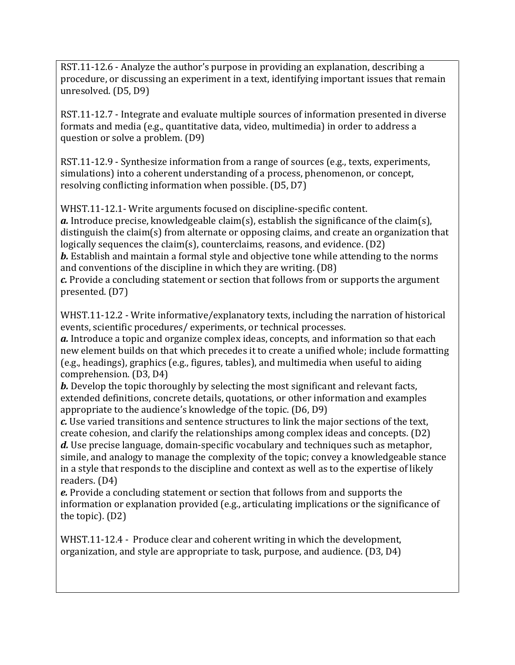RST.11-12.6 - Analyze the author's purpose in providing an explanation, describing a procedure, or discussing an experiment in a text, identifying important issues that remain unresolved. (D5, D9)

RST.11-12.7 - Integrate and evaluate multiple sources of information presented in diverse formats and media (e.g., quantitative data, video, multimedia) in order to address a question or solve a problem. (D9)

RST.11-12.9 - Synthesize information from a range of sources (e.g., texts, experiments, simulations) into a coherent understanding of a process, phenomenon, or concept, resolving conflicting information when possible. (D5, D7)

WHST.11-12.1- Write arguments focused on discipline-specific content. *a.* Introduce precise, knowledgeable claim(s), establish the significance of the claim(s), distinguish the claim(s) from alternate or opposing claims, and create an organization that logically sequences the claim(s), counterclaims, reasons, and evidence. (D2) *b.* Establish and maintain a formal style and objective tone while attending to the norms and conventions of the discipline in which they are writing. (D8) *c.* Provide a concluding statement or section that follows from or supports the argument presented. (D7)

WHST.11-12.2 - Write informative/explanatory texts, including the narration of historical events, scientific procedures/ experiments, or technical processes.

*a.* Introduce a topic and organize complex ideas, concepts, and information so that each new element builds on that which precedes it to create a unified whole; include formatting (e.g., headings), graphics (e.g., figures, tables), and multimedia when useful to aiding comprehension. (D3, D4)

*b.* Develop the topic thoroughly by selecting the most significant and relevant facts, extended definitions, concrete details, quotations, or other information and examples appropriate to the audience's knowledge of the topic. (D6, D9)

*c.* Use varied transitions and sentence structures to link the major sections of the text, create cohesion, and clarify the relationships among complex ideas and concepts. (D2) *d.* Use precise language, domain-specific vocabulary and techniques such as metaphor, simile, and analogy to manage the complexity of the topic; convey a knowledgeable stance

in a style that responds to the discipline and context as well as to the expertise of likely readers. (D4)

*e.* Provide a concluding statement or section that follows from and supports the information or explanation provided (e.g., articulating implications or the significance of the topic). (D2)

WHST.11-12.4 - Produce clear and coherent writing in which the development, organization, and style are appropriate to task, purpose, and audience. (D3, D4)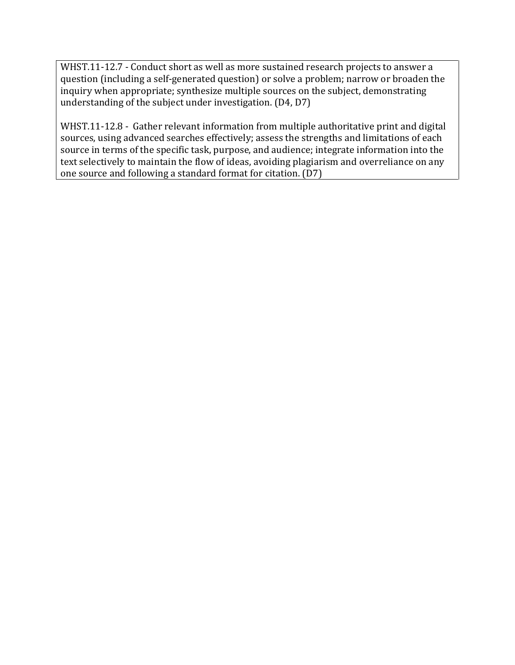WHST.11-12.7 - Conduct short as well as more sustained research projects to answer a question (including a self-generated question) or solve a problem; narrow or broaden the inquiry when appropriate; synthesize multiple sources on the subject, demonstrating understanding of the subject under investigation. (D4, D7)

WHST.11-12.8 - Gather relevant information from multiple authoritative print and digital sources, using advanced searches effectively; assess the strengths and limitations of each source in terms of the specific task, purpose, and audience; integrate information into the text selectively to maintain the flow of ideas, avoiding plagiarism and overreliance on any one source and following a standard format for citation. (D7)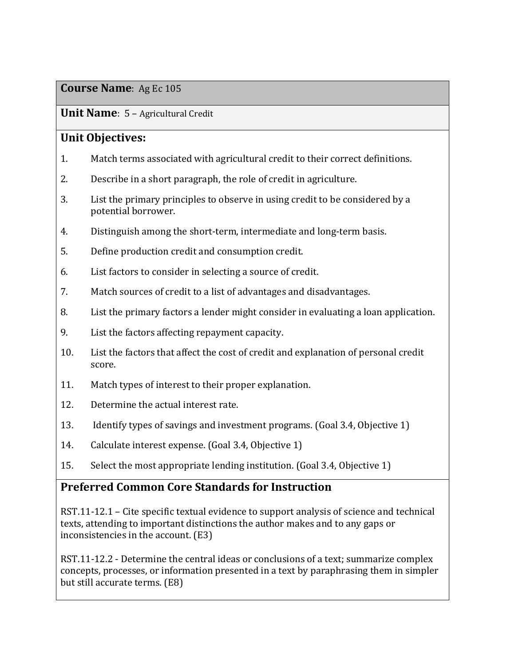**Unit Name**: 5 – Agricultural Credit

## **Unit Objectives:**

- 1. Match terms associated with agricultural credit to their correct definitions.
- 2. Describe in a short paragraph, the role of credit in agriculture.
- 3. List the primary principles to observe in using credit to be considered by a potential borrower.
- 4. Distinguish among the short-term, intermediate and long-term basis.
- 5. Define production credit and consumption credit.
- 6. List factors to consider in selecting a source of credit.
- 7. Match sources of credit to a list of advantages and disadvantages.
- 8. List the primary factors a lender might consider in evaluating a loan application.
- 9. List the factors affecting repayment capacity.
- 10. List the factors that affect the cost of credit and explanation of personal credit score.
- 11. Match types of interest to their proper explanation.
- 12. Determine the actual interest rate.
- 13. Identify types of savings and investment programs. (Goal 3.4, Objective 1)
- 14. Calculate interest expense. (Goal 3.4, Objective 1)
- 15. Select the most appropriate lending institution. (Goal 3.4, Objective 1)

## **Preferred Common Core Standards for Instruction**

RST.11-12.1 – Cite specific textual evidence to support analysis of science and technical texts, attending to important distinctions the author makes and to any gaps or inconsistencies in the account. (E3)

RST.11-12.2 - Determine the central ideas or conclusions of a text; summarize complex concepts, processes, or information presented in a text by paraphrasing them in simpler but still accurate terms. (E8)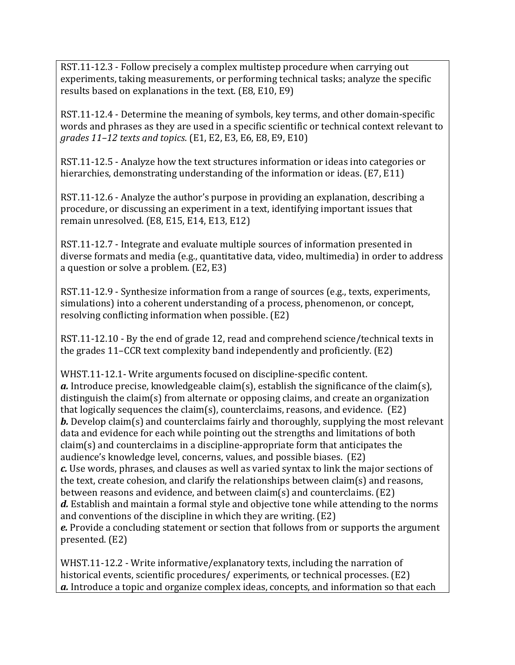RST.11-12.3 - Follow precisely a complex multistep procedure when carrying out experiments, taking measurements, or performing technical tasks; analyze the specific results based on explanations in the text. (E8, E10, E9)

RST.11-12.4 - Determine the meaning of symbols, key terms, and other domain-specific words and phrases as they are used in a specific scientific or technical context relevant to *grades 11–12 texts and topics*. (E1, E2, E3, E6, E8, E9, E10)

RST.11-12.5 - Analyze how the text structures information or ideas into categories or hierarchies, demonstrating understanding of the information or ideas. (E7, E11)

RST.11-12.6 - Analyze the author's purpose in providing an explanation, describing a procedure, or discussing an experiment in a text, identifying important issues that remain unresolved. (E8, E15, E14, E13, E12)

RST.11-12.7 - Integrate and evaluate multiple sources of information presented in diverse formats and media (e.g., quantitative data, video, multimedia) in order to address a question or solve a problem. (E2, E3)

RST.11-12.9 - Synthesize information from a range of sources (e.g., texts, experiments, simulations) into a coherent understanding of a process, phenomenon, or concept, resolving conflicting information when possible. (E2)

RST.11-12.10 - By the end of grade 12, read and comprehend science/technical texts in the grades 11–CCR text complexity band independently and proficiently. (E2)

WHST.11-12.1- Write arguments focused on discipline-specific content. *a.* Introduce precise, knowledgeable claim(s), establish the significance of the claim(s), distinguish the claim(s) from alternate or opposing claims, and create an organization that logically sequences the claim(s), counterclaims, reasons, and evidence. (E2) *b.* Develop claim(s) and counterclaims fairly and thoroughly, supplying the most relevant data and evidence for each while pointing out the strengths and limitations of both claim(s) and counterclaims in a discipline-appropriate form that anticipates the audience's knowledge level, concerns, values, and possible biases. (E2) *c.* Use words, phrases, and clauses as well as varied syntax to link the major sections of the text, create cohesion, and clarify the relationships between claim(s) and reasons, between reasons and evidence, and between claim(s) and counterclaims. (E2) *d.* Establish and maintain a formal style and objective tone while attending to the norms and conventions of the discipline in which they are writing. (E2) *e.* Provide a concluding statement or section that follows from or supports the argument presented. (E2)

WHST.11-12.2 - Write informative/explanatory texts, including the narration of historical events, scientific procedures/ experiments, or technical processes. (E2) *a.* Introduce a topic and organize complex ideas, concepts, and information so that each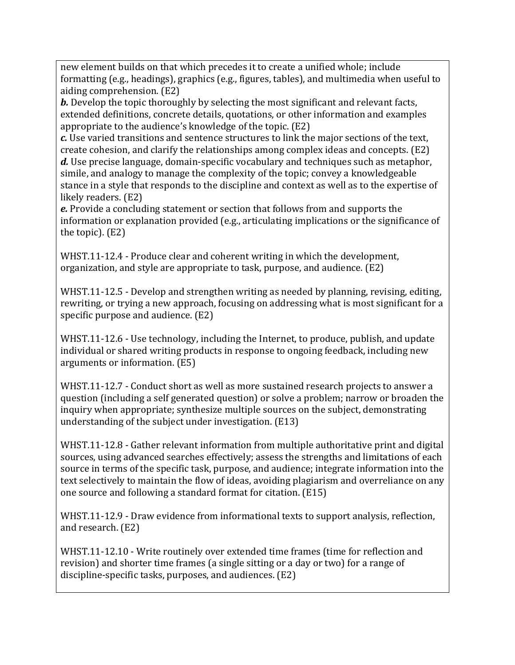new element builds on that which precedes it to create a unified whole; include formatting (e.g., headings), graphics (e.g., figures, tables), and multimedia when useful to aiding comprehension. (E2)

*b.* Develop the topic thoroughly by selecting the most significant and relevant facts, extended definitions, concrete details, quotations, or other information and examples appropriate to the audience's knowledge of the topic. (E2)

*c.* Use varied transitions and sentence structures to link the major sections of the text, create cohesion, and clarify the relationships among complex ideas and concepts. (E2) *d.* Use precise language, domain-specific vocabulary and techniques such as metaphor, simile, and analogy to manage the complexity of the topic; convey a knowledgeable stance in a style that responds to the discipline and context as well as to the expertise of likely readers. (E2)

*e.* Provide a concluding statement or section that follows from and supports the information or explanation provided (e.g., articulating implications or the significance of the topic). (E2)

WHST.11-12.4 - Produce clear and coherent writing in which the development, organization, and style are appropriate to task, purpose, and audience. (E2)

WHST.11-12.5 - Develop and strengthen writing as needed by planning, revising, editing, rewriting, or trying a new approach, focusing on addressing what is most significant for a specific purpose and audience. (E2)

WHST.11-12.6 - Use technology, including the Internet, to produce, publish, and update individual or shared writing products in response to ongoing feedback, including new arguments or information. (E5)

WHST.11-12.7 - Conduct short as well as more sustained research projects to answer a question (including a self generated question) or solve a problem; narrow or broaden the inquiry when appropriate; synthesize multiple sources on the subject, demonstrating understanding of the subject under investigation. (E13)

WHST.11-12.8 - Gather relevant information from multiple authoritative print and digital sources, using advanced searches effectively; assess the strengths and limitations of each source in terms of the specific task, purpose, and audience; integrate information into the text selectively to maintain the flow of ideas, avoiding plagiarism and overreliance on any one source and following a standard format for citation. (E15)

WHST.11-12.9 - Draw evidence from informational texts to support analysis, reflection, and research. (E2)

WHST.11-12.10 - Write routinely over extended time frames (time for reflection and revision) and shorter time frames (a single sitting or a day or two) for a range of discipline-specific tasks, purposes, and audiences. (E2)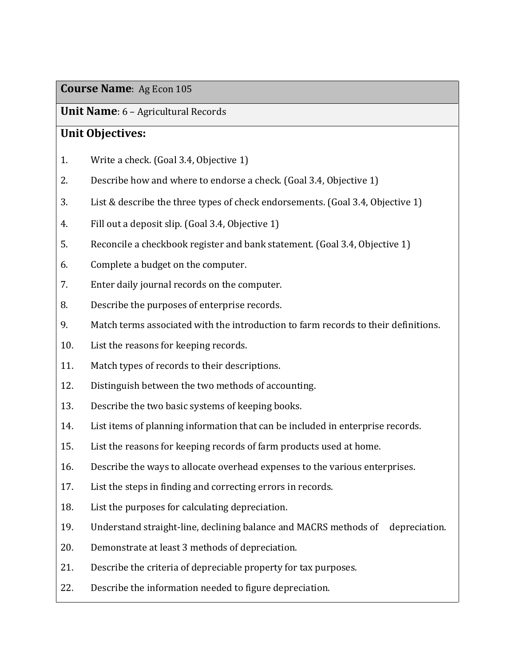### **Unit Name**: 6 – Agricultural Records

### **Unit Objectives:**

- 1. Write a check. (Goal 3.4, Objective 1)
- 2. Describe how and where to endorse a check. (Goal 3.4, Objective 1)
- 3. List & describe the three types of check endorsements. (Goal 3.4, Objective 1)
- 4. Fill out a deposit slip. (Goal 3.4, Objective 1)
- 5. Reconcile a checkbook register and bank statement. (Goal 3.4, Objective 1)
- 6. Complete a budget on the computer.
- 7. Enter daily journal records on the computer.
- 8. Describe the purposes of enterprise records.
- 9. Match terms associated with the introduction to farm records to their definitions.
- 10. List the reasons for keeping records.
- 11. Match types of records to their descriptions.
- 12. Distinguish between the two methods of accounting.
- 13. Describe the two basic systems of keeping books.
- 14. List items of planning information that can be included in enterprise records.
- 15. List the reasons for keeping records of farm products used at home.
- 16. Describe the ways to allocate overhead expenses to the various enterprises.
- 17. List the steps in finding and correcting errors in records.
- 18. List the purposes for calculating depreciation.
- 19. Understand straight-line, declining balance and MACRS methods of depreciation.
- 20. Demonstrate at least 3 methods of depreciation.
- 21. Describe the criteria of depreciable property for tax purposes.
- 22. Describe the information needed to figure depreciation.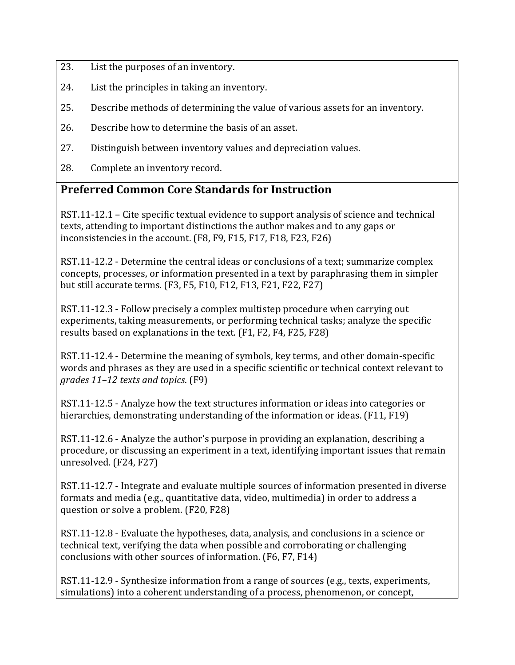- 23. List the purposes of an inventory.
- 24. List the principles in taking an inventory.
- 25. Describe methods of determining the value of various assets for an inventory.
- 26. Describe how to determine the basis of an asset.
- 27. Distinguish between inventory values and depreciation values.
- 28. Complete an inventory record.

#### **Preferred Common Core Standards for Instruction**

RST.11-12.1 – Cite specific textual evidence to support analysis of science and technical texts, attending to important distinctions the author makes and to any gaps or inconsistencies in the account. (F8, F9, F15, F17, F18, F23, F26)

RST.11-12.2 - Determine the central ideas or conclusions of a text; summarize complex concepts, processes, or information presented in a text by paraphrasing them in simpler but still accurate terms. (F3, F5, F10, F12, F13, F21, F22, F27)

RST.11-12.3 - Follow precisely a complex multistep procedure when carrying out experiments, taking measurements, or performing technical tasks; analyze the specific results based on explanations in the text. (F1, F2, F4, F25, F28)

RST.11-12.4 - Determine the meaning of symbols, key terms, and other domain-specific words and phrases as they are used in a specific scientific or technical context relevant to *grades 11–12 texts and topics*. (F9)

RST.11-12.5 - Analyze how the text structures information or ideas into categories or hierarchies, demonstrating understanding of the information or ideas. (F11, F19)

RST.11-12.6 - Analyze the author's purpose in providing an explanation, describing a procedure, or discussing an experiment in a text, identifying important issues that remain unresolved. (F24, F27)

RST.11-12.7 - Integrate and evaluate multiple sources of information presented in diverse formats and media (e.g., quantitative data, video, multimedia) in order to address a question or solve a problem. (F20, F28)

RST.11-12.8 - Evaluate the hypotheses, data, analysis, and conclusions in a science or technical text, verifying the data when possible and corroborating or challenging conclusions with other sources of information. (F6, F7, F14)

RST.11-12.9 - Synthesize information from a range of sources (e.g., texts, experiments, simulations) into a coherent understanding of a process, phenomenon, or concept,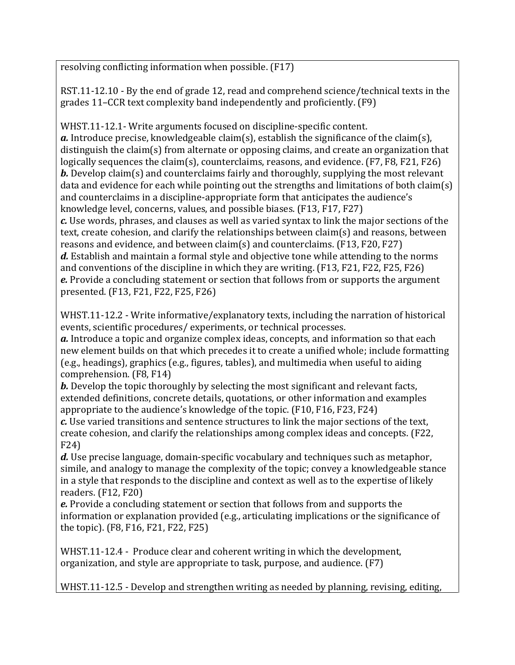resolving conflicting information when possible. (F17)

RST.11-12.10 - By the end of grade 12, read and comprehend science/technical texts in the grades 11–CCR text complexity band independently and proficiently. (F9)

WHST.11-12.1- Write arguments focused on discipline-specific content. *a.* Introduce precise, knowledgeable claim(s), establish the significance of the claim(s), distinguish the claim(s) from alternate or opposing claims, and create an organization that logically sequences the claim(s), counterclaims, reasons, and evidence. (F7, F8, F21, F26) *b.* Develop claim(s) and counterclaims fairly and thoroughly, supplying the most relevant data and evidence for each while pointing out the strengths and limitations of both claim(s) and counterclaims in a discipline-appropriate form that anticipates the audience's knowledge level, concerns, values, and possible biases. (F13, F17, F27) *c.* Use words, phrases, and clauses as well as varied syntax to link the major sections of the text, create cohesion, and clarify the relationships between claim(s) and reasons, between reasons and evidence, and between claim(s) and counterclaims. (F13, F20, F27) *d.* Establish and maintain a formal style and objective tone while attending to the norms and conventions of the discipline in which they are writing. (F13, F21, F22, F25, F26) *e.* Provide a concluding statement or section that follows from or supports the argument presented. (F13, F21, F22, F25, F26)

WHST.11-12.2 - Write informative/explanatory texts, including the narration of historical events, scientific procedures/ experiments, or technical processes.

*a.* Introduce a topic and organize complex ideas, concepts, and information so that each new element builds on that which precedes it to create a unified whole; include formatting (e.g., headings), graphics (e.g., figures, tables), and multimedia when useful to aiding comprehension. (F8, F14)

*b.* Develop the topic thoroughly by selecting the most significant and relevant facts, extended definitions, concrete details, quotations, or other information and examples appropriate to the audience's knowledge of the topic. (F10, F16, F23, F24)

*c.* Use varied transitions and sentence structures to link the major sections of the text, create cohesion, and clarify the relationships among complex ideas and concepts. (F22, F24)

*d.* Use precise language, domain-specific vocabulary and techniques such as metaphor, simile, and analogy to manage the complexity of the topic; convey a knowledgeable stance in a style that responds to the discipline and context as well as to the expertise of likely readers. (F12, F20)

*e.* Provide a concluding statement or section that follows from and supports the information or explanation provided (e.g., articulating implications or the significance of the topic). (F8, F16, F21, F22, F25)

WHST.11-12.4 - Produce clear and coherent writing in which the development, organization, and style are appropriate to task, purpose, and audience. (F7)

WHST.11-12.5 - Develop and strengthen writing as needed by planning, revising, editing,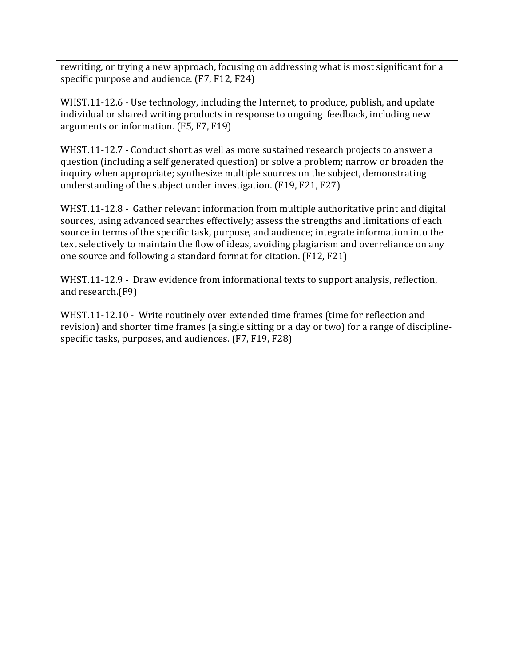rewriting, or trying a new approach, focusing on addressing what is most significant for a specific purpose and audience. (F7, F12, F24)

WHST.11-12.6 - Use technology, including the Internet, to produce, publish, and update individual or shared writing products in response to ongoing feedback, including new arguments or information. (F5, F7, F19)

WHST.11-12.7 - Conduct short as well as more sustained research projects to answer a question (including a self generated question) or solve a problem; narrow or broaden the inquiry when appropriate; synthesize multiple sources on the subject, demonstrating understanding of the subject under investigation. (F19, F21, F27)

WHST.11-12.8 - Gather relevant information from multiple authoritative print and digital sources, using advanced searches effectively; assess the strengths and limitations of each source in terms of the specific task, purpose, and audience; integrate information into the text selectively to maintain the flow of ideas, avoiding plagiarism and overreliance on any one source and following a standard format for citation. (F12, F21)

WHST.11-12.9 - Draw evidence from informational texts to support analysis, reflection, and research.(F9)

WHST.11-12.10 - Write routinely over extended time frames (time for reflection and revision) and shorter time frames (a single sitting or a day or two) for a range of disciplinespecific tasks, purposes, and audiences. (F7, F19, F28)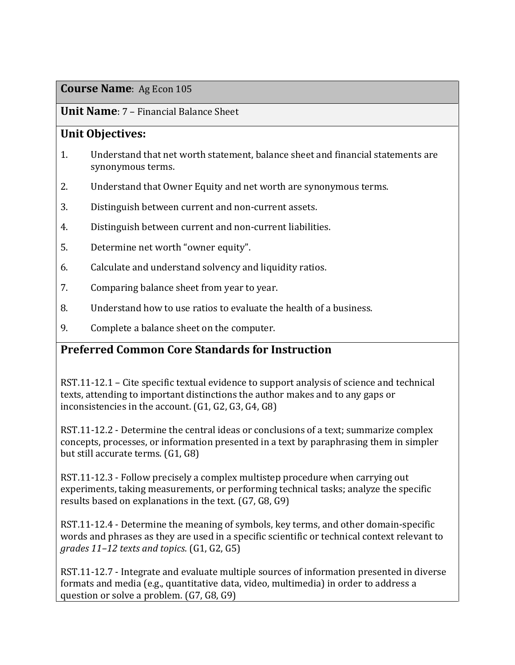## **Unit Name**: 7 – Financial Balance Sheet

## **Unit Objectives:**

- 1. Understand that net worth statement, balance sheet and financial statements are synonymous terms.
- 2. Understand that Owner Equity and net worth are synonymous terms.
- 3. Distinguish between current and non-current assets.
- 4. Distinguish between current and non-current liabilities.
- 5. Determine net worth "owner equity".
- 6. Calculate and understand solvency and liquidity ratios.
- 7. Comparing balance sheet from year to year.
- 8. Understand how to use ratios to evaluate the health of a business.
- 9. Complete a balance sheet on the computer.

## **Preferred Common Core Standards for Instruction**

RST.11-12.1 – Cite specific textual evidence to support analysis of science and technical texts, attending to important distinctions the author makes and to any gaps or inconsistencies in the account. (G1, G2, G3, G4, G8)

RST.11-12.2 - Determine the central ideas or conclusions of a text; summarize complex concepts, processes, or information presented in a text by paraphrasing them in simpler but still accurate terms. (G1, G8)

RST.11-12.3 - Follow precisely a complex multistep procedure when carrying out experiments, taking measurements, or performing technical tasks; analyze the specific results based on explanations in the text. (G7, G8, G9)

RST.11-12.4 - Determine the meaning of symbols, key terms, and other domain-specific words and phrases as they are used in a specific scientific or technical context relevant to *grades 11–12 texts and topics*. (G1, G2, G5)

RST.11-12.7 - Integrate and evaluate multiple sources of information presented in diverse formats and media (e.g., quantitative data, video, multimedia) in order to address a question or solve a problem. (G7, G8, G9)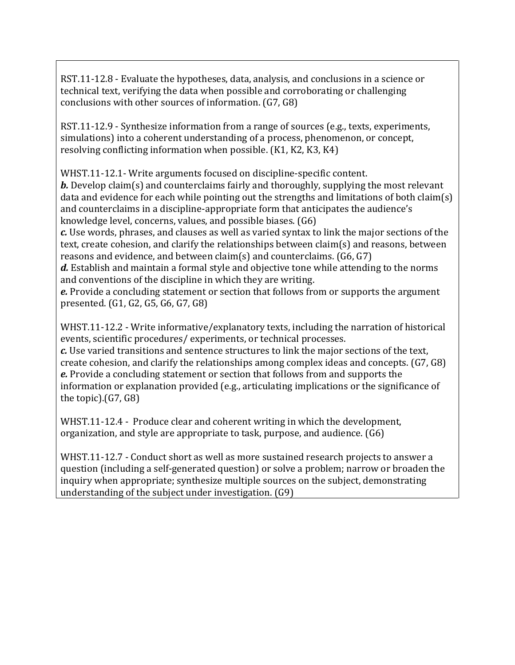RST.11-12.8 - Evaluate the hypotheses, data, analysis, and conclusions in a science or technical text, verifying the data when possible and corroborating or challenging conclusions with other sources of information. (G7, G8)

RST.11-12.9 - Synthesize information from a range of sources (e.g., texts, experiments, simulations) into a coherent understanding of a process, phenomenon, or concept, resolving conflicting information when possible. (K1, K2, K3, K4)

WHST.11-12.1- Write arguments focused on discipline-specific content.

*b.* Develop claim(s) and counterclaims fairly and thoroughly, supplying the most relevant data and evidence for each while pointing out the strengths and limitations of both claim(s) and counterclaims in a discipline-appropriate form that anticipates the audience's knowledge level, concerns, values, and possible biases. (G6)

*c.* Use words, phrases, and clauses as well as varied syntax to link the major sections of the text, create cohesion, and clarify the relationships between claim(s) and reasons, between reasons and evidence, and between claim(s) and counterclaims. (G6, G7)

*d.* Establish and maintain a formal style and objective tone while attending to the norms and conventions of the discipline in which they are writing.

*e.* Provide a concluding statement or section that follows from or supports the argument presented. (G1, G2, G5, G6, G7, G8)

WHST.11-12.2 - Write informative/explanatory texts, including the narration of historical events, scientific procedures/ experiments, or technical processes.

*c.* Use varied transitions and sentence structures to link the major sections of the text, create cohesion, and clarify the relationships among complex ideas and concepts. (G7, G8) *e.* Provide a concluding statement or section that follows from and supports the information or explanation provided (e.g., articulating implications or the significance of the topic).(G7, G8)

WHST.11-12.4 - Produce clear and coherent writing in which the development, organization, and style are appropriate to task, purpose, and audience. (G6)

WHST.11-12.7 - Conduct short as well as more sustained research projects to answer a question (including a self-generated question) or solve a problem; narrow or broaden the inquiry when appropriate; synthesize multiple sources on the subject, demonstrating understanding of the subject under investigation. (G9)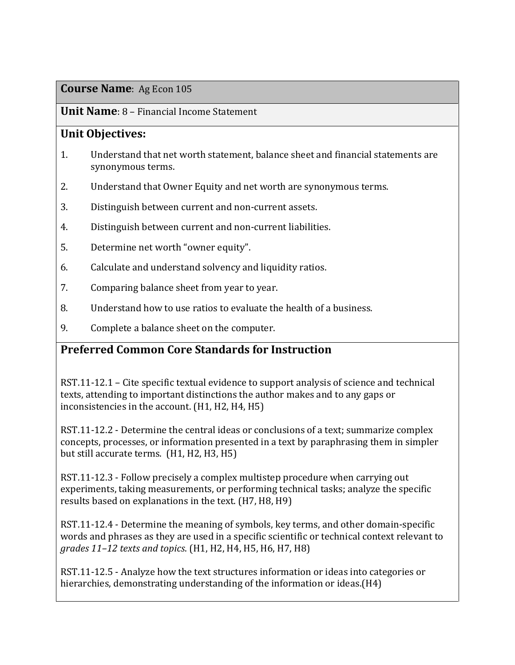#### **Unit Name**: 8 – Financial Income Statement

### **Unit Objectives:**

- 1. Understand that net worth statement, balance sheet and financial statements are synonymous terms.
- 2. Understand that Owner Equity and net worth are synonymous terms.
- 3. Distinguish between current and non-current assets.
- 4. Distinguish between current and non-current liabilities.
- 5. Determine net worth "owner equity".
- 6. Calculate and understand solvency and liquidity ratios.
- 7. Comparing balance sheet from year to year.
- 8. Understand how to use ratios to evaluate the health of a business.
- 9. Complete a balance sheet on the computer.

## **Preferred Common Core Standards for Instruction**

RST.11-12.1 – Cite specific textual evidence to support analysis of science and technical texts, attending to important distinctions the author makes and to any gaps or inconsistencies in the account. (H1, H2, H4, H5)

RST.11-12.2 - Determine the central ideas or conclusions of a text; summarize complex concepts, processes, or information presented in a text by paraphrasing them in simpler but still accurate terms. (H1, H2, H3, H5)

RST.11-12.3 - Follow precisely a complex multistep procedure when carrying out experiments, taking measurements, or performing technical tasks; analyze the specific results based on explanations in the text. (H7, H8, H9)

RST.11-12.4 - Determine the meaning of symbols, key terms, and other domain-specific words and phrases as they are used in a specific scientific or technical context relevant to *grades 11–12 texts and topics*. (H1, H2, H4, H5, H6, H7, H8)

RST.11-12.5 - Analyze how the text structures information or ideas into categories or hierarchies, demonstrating understanding of the information or ideas.(H4)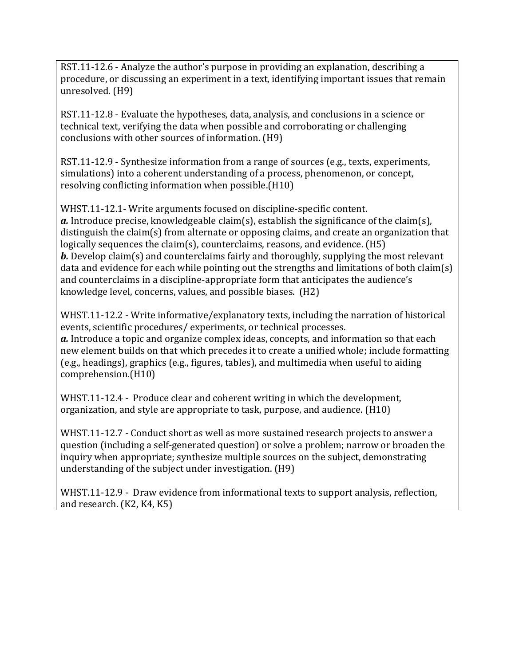RST.11-12.6 - Analyze the author's purpose in providing an explanation, describing a procedure, or discussing an experiment in a text, identifying important issues that remain unresolved. (H9)

RST.11-12.8 - Evaluate the hypotheses, data, analysis, and conclusions in a science or technical text, verifying the data when possible and corroborating or challenging conclusions with other sources of information. (H9)

RST.11-12.9 - Synthesize information from a range of sources (e.g., texts, experiments, simulations) into a coherent understanding of a process, phenomenon, or concept, resolving conflicting information when possible.(H10)

WHST.11-12.1- Write arguments focused on discipline-specific content. *a.* Introduce precise, knowledgeable claim(s), establish the significance of the claim(s), distinguish the claim(s) from alternate or opposing claims, and create an organization that logically sequences the claim(s), counterclaims, reasons, and evidence. (H5) *b.* Develop claim(s) and counterclaims fairly and thoroughly, supplying the most relevant data and evidence for each while pointing out the strengths and limitations of both claim(s) and counterclaims in a discipline-appropriate form that anticipates the audience's knowledge level, concerns, values, and possible biases. (H2)

WHST.11-12.2 - Write informative/explanatory texts, including the narration of historical events, scientific procedures/ experiments, or technical processes. *a.* Introduce a topic and organize complex ideas, concepts, and information so that each new element builds on that which precedes it to create a unified whole; include formatting (e.g., headings), graphics (e.g., figures, tables), and multimedia when useful to aiding comprehension.(H10)

WHST.11-12.4 - Produce clear and coherent writing in which the development, organization, and style are appropriate to task, purpose, and audience. (H10)

WHST.11-12.7 - Conduct short as well as more sustained research projects to answer a question (including a self-generated question) or solve a problem; narrow or broaden the inquiry when appropriate; synthesize multiple sources on the subject, demonstrating understanding of the subject under investigation. (H9)

WHST.11-12.9 - Draw evidence from informational texts to support analysis, reflection, and research. (K2, K4, K5)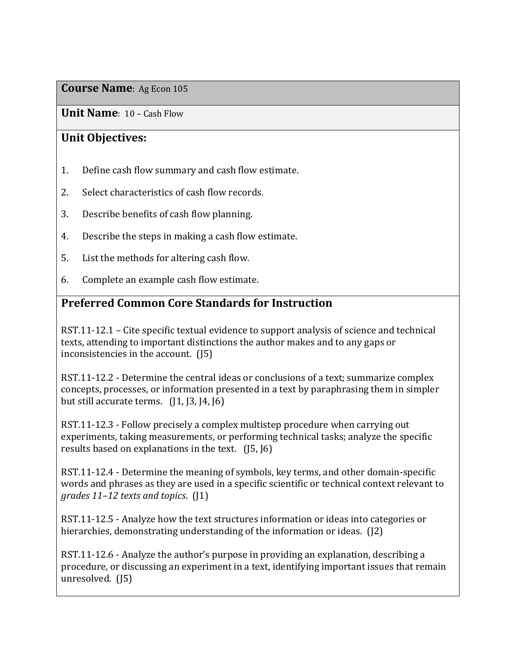**Unit Name**: 10 – Cash Flow

## **Unit Objectives:**

- 1. Define cash flow summary and cash flow estimate.
- 2. Select characteristics of cash flow records.
- 3. Describe benefits of cash flow planning.
- 4. Describe the steps in making a cash flow estimate.
- 5. List the methods for altering cash flow.
- 6. Complete an example cash flow estimate.

## **Preferred Common Core Standards for Instruction**

RST.11-12.1 – Cite specific textual evidence to support analysis of science and technical texts, attending to important distinctions the author makes and to any gaps or inconsistencies in the account. (J5)

RST.11-12.2 - Determine the central ideas or conclusions of a text; summarize complex concepts, processes, or information presented in a text by paraphrasing them in simpler but still accurate terms.  $(1, 1, 3, 14, 16)$ 

RST.11-12.3 - Follow precisely a complex multistep procedure when carrying out experiments, taking measurements, or performing technical tasks; analyze the specific results based on explanations in the text. (J5, J6)

RST.11-12.4 - Determine the meaning of symbols, key terms, and other domain-specific words and phrases as they are used in a specific scientific or technical context relevant to *grades 11–12 texts and topics*. (J1)

RST.11-12.5 - Analyze how the text structures information or ideas into categories or hierarchies, demonstrating understanding of the information or ideas. (J2)

RST.11-12.6 - Analyze the author's purpose in providing an explanation, describing a procedure, or discussing an experiment in a text, identifying important issues that remain unresolved. (J5)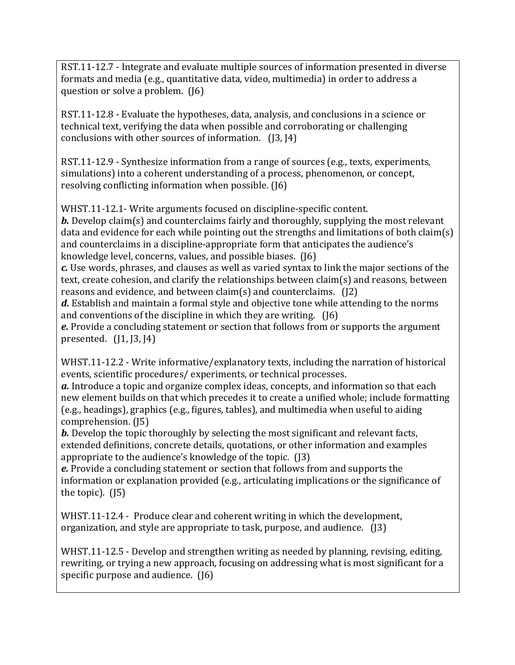RST.11-12.7 - Integrate and evaluate multiple sources of information presented in diverse formats and media (e.g., quantitative data, video, multimedia) in order to address a question or solve a problem. (J6)

RST.11-12.8 - Evaluate the hypotheses, data, analysis, and conclusions in a science or technical text, verifying the data when possible and corroborating or challenging conclusions with other sources of information. (J3, J4)

RST.11-12.9 - Synthesize information from a range of sources (e.g., texts, experiments, simulations) into a coherent understanding of a process, phenomenon, or concept, resolving conflicting information when possible. (J6)

WHST.11-12.1- Write arguments focused on discipline-specific content.

*b.* Develop claim(s) and counterclaims fairly and thoroughly, supplying the most relevant data and evidence for each while pointing out the strengths and limitations of both claim(s) and counterclaims in a discipline-appropriate form that anticipates the audience's knowledge level, concerns, values, and possible biases. (J6)

*c.* Use words, phrases, and clauses as well as varied syntax to link the major sections of the text, create cohesion, and clarify the relationships between claim(s) and reasons, between reasons and evidence, and between claim(s) and counterclaims. (J2)

*d.* Establish and maintain a formal style and objective tone while attending to the norms and conventions of the discipline in which they are writing. (J6)

*e.* Provide a concluding statement or section that follows from or supports the argument presented. (J1, J3, J4)

WHST.11-12.2 - Write informative/explanatory texts, including the narration of historical events, scientific procedures/ experiments, or technical processes.

*a.* Introduce a topic and organize complex ideas, concepts, and information so that each new element builds on that which precedes it to create a unified whole; include formatting (e.g., headings), graphics (e.g., figures, tables), and multimedia when useful to aiding comprehension. (J5)

*b*. Develop the topic thoroughly by selecting the most significant and relevant facts, extended definitions, concrete details, quotations, or other information and examples appropriate to the audience's knowledge of the topic. (J3)

*e.* Provide a concluding statement or section that follows from and supports the information or explanation provided (e.g., articulating implications or the significance of the topic). (J5)

WHST.11-12.4 - Produce clear and coherent writing in which the development, organization, and style are appropriate to task, purpose, and audience. (J3)

WHST.11-12.5 - Develop and strengthen writing as needed by planning, revising, editing, rewriting, or trying a new approach, focusing on addressing what is most significant for a specific purpose and audience. (J6)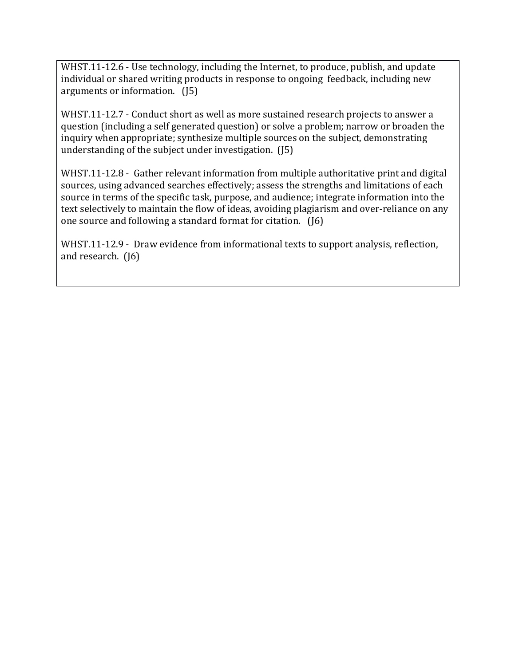WHST.11-12.6 - Use technology, including the Internet, to produce, publish, and update individual or shared writing products in response to ongoing feedback, including new arguments or information. (J5)

WHST.11-12.7 - Conduct short as well as more sustained research projects to answer a question (including a self generated question) or solve a problem; narrow or broaden the inquiry when appropriate; synthesize multiple sources on the subject, demonstrating understanding of the subject under investigation. (J5)

WHST.11-12.8 - Gather relevant information from multiple authoritative print and digital sources, using advanced searches effectively; assess the strengths and limitations of each source in terms of the specific task, purpose, and audience; integrate information into the text selectively to maintain the flow of ideas, avoiding plagiarism and over-reliance on any one source and following a standard format for citation. (J6)

WHST.11-12.9 - Draw evidence from informational texts to support analysis, reflection, and research. (J6)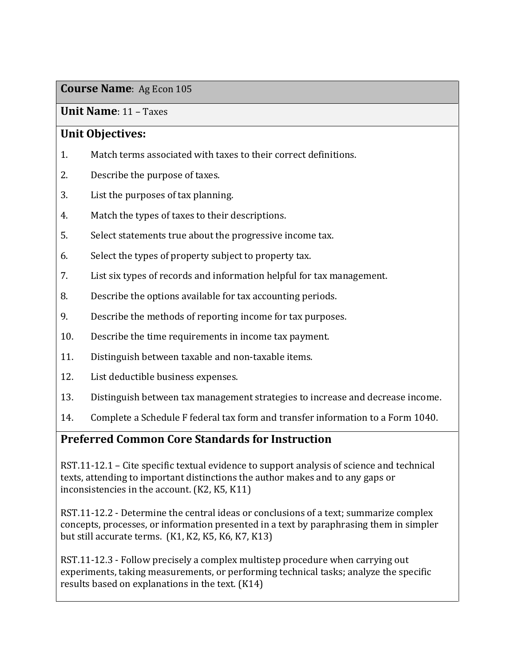### **Unit Name**: 11 – Taxes

### **Unit Objectives:**

- 1. Match terms associated with taxes to their correct definitions.
- 2. Describe the purpose of taxes.
- 3. List the purposes of tax planning.
- 4. Match the types of taxes to their descriptions.
- 5. Select statements true about the progressive income tax.
- 6. Select the types of property subject to property tax.
- 7. List six types of records and information helpful for tax management.
- 8. Describe the options available for tax accounting periods.
- 9. Describe the methods of reporting income for tax purposes.
- 10. Describe the time requirements in income tax payment.
- 11. Distinguish between taxable and non-taxable items.
- 12. List deductible business expenses.
- 13. Distinguish between tax management strategies to increase and decrease income.
- 14. Complete a Schedule F federal tax form and transfer information to a Form 1040.

## **Preferred Common Core Standards for Instruction**

RST.11-12.1 – Cite specific textual evidence to support analysis of science and technical texts, attending to important distinctions the author makes and to any gaps or inconsistencies in the account. (K2, K5, K11)

RST.11-12.2 - Determine the central ideas or conclusions of a text; summarize complex concepts, processes, or information presented in a text by paraphrasing them in simpler but still accurate terms. (K1, K2, K5, K6, K7, K13)

RST.11-12.3 - Follow precisely a complex multistep procedure when carrying out experiments, taking measurements, or performing technical tasks; analyze the specific results based on explanations in the text. (K14)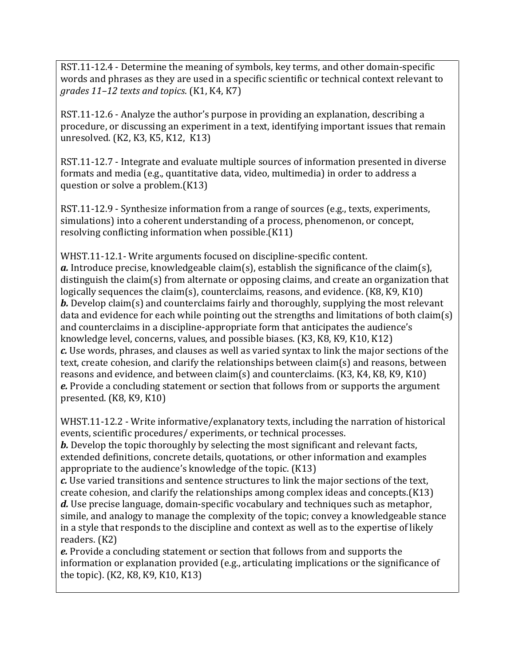RST.11-12.4 - Determine the meaning of symbols, key terms, and other domain-specific words and phrases as they are used in a specific scientific or technical context relevant to *grades 11–12 texts and topics*. (K1, K4, K7)

RST.11-12.6 - Analyze the author's purpose in providing an explanation, describing a procedure, or discussing an experiment in a text, identifying important issues that remain unresolved. (K2, K3, K5, K12, K13)

RST.11-12.7 - Integrate and evaluate multiple sources of information presented in diverse formats and media (e.g., quantitative data, video, multimedia) in order to address a question or solve a problem.(K13)

RST.11-12.9 - Synthesize information from a range of sources (e.g., texts, experiments, simulations) into a coherent understanding of a process, phenomenon, or concept, resolving conflicting information when possible.(K11)

WHST.11-12.1- Write arguments focused on discipline-specific content. *a.* Introduce precise, knowledgeable claim(s), establish the significance of the claim(s), distinguish the claim(s) from alternate or opposing claims, and create an organization that logically sequences the claim(s), counterclaims, reasons, and evidence. (K8, K9, K10) *b.* Develop claim(s) and counterclaims fairly and thoroughly, supplying the most relevant data and evidence for each while pointing out the strengths and limitations of both claim(s) and counterclaims in a discipline-appropriate form that anticipates the audience's knowledge level, concerns, values, and possible biases. (K3, K8, K9, K10, K12) *c.* Use words, phrases, and clauses as well as varied syntax to link the major sections of the text, create cohesion, and clarify the relationships between claim(s) and reasons, between reasons and evidence, and between claim(s) and counterclaims. (K3, K4, K8, K9, K10) *e.* Provide a concluding statement or section that follows from or supports the argument presented. (K8, K9, K10)

WHST.11-12.2 - Write informative/explanatory texts, including the narration of historical events, scientific procedures/ experiments, or technical processes.

*b*. Develop the topic thoroughly by selecting the most significant and relevant facts, extended definitions, concrete details, quotations, or other information and examples appropriate to the audience's knowledge of the topic. (K13)

*c.* Use varied transitions and sentence structures to link the major sections of the text, create cohesion, and clarify the relationships among complex ideas and concepts.(K13) *d.* Use precise language, domain-specific vocabulary and techniques such as metaphor, simile, and analogy to manage the complexity of the topic; convey a knowledgeable stance in a style that responds to the discipline and context as well as to the expertise of likely readers. (K2)

*e.* Provide a concluding statement or section that follows from and supports the information or explanation provided (e.g., articulating implications or the significance of the topic). (K2, K8, K9, K10, K13)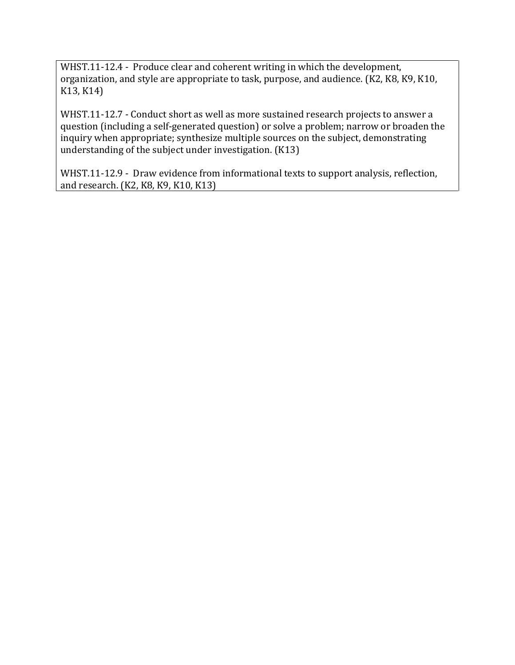WHST.11-12.4 - Produce clear and coherent writing in which the development, organization, and style are appropriate to task, purpose, and audience. (K2, K8, K9, K10, K13, K14)

WHST.11-12.7 - Conduct short as well as more sustained research projects to answer a question (including a self-generated question) or solve a problem; narrow or broaden the inquiry when appropriate; synthesize multiple sources on the subject, demonstrating understanding of the subject under investigation. (K13)

WHST.11-12.9 - Draw evidence from informational texts to support analysis, reflection, and research. (K2, K8, K9, K10, K13)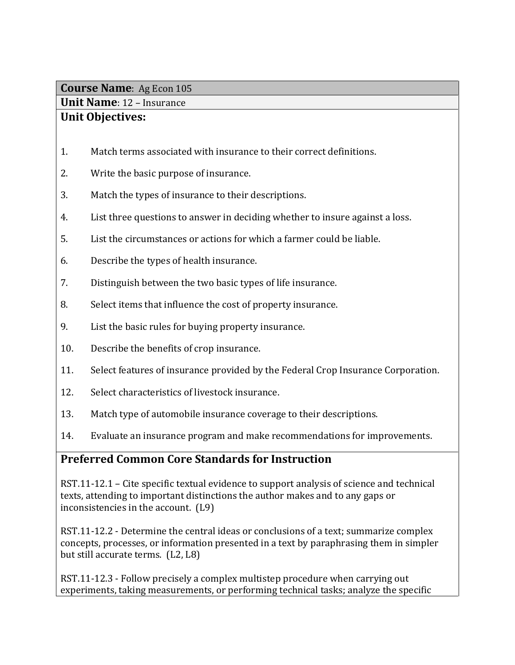**Unit Name**: 12 – Insurance

## **Unit Objectives:**

- 1. Match terms associated with insurance to their correct definitions.
- 2. Write the basic purpose of insurance.
- 3. Match the types of insurance to their descriptions.
- 4. List three questions to answer in deciding whether to insure against a loss.
- 5. List the circumstances or actions for which a farmer could be liable.
- 6. Describe the types of health insurance.
- 7. Distinguish between the two basic types of life insurance.
- 8. Select items that influence the cost of property insurance.
- 9. List the basic rules for buying property insurance.
- 10. Describe the benefits of crop insurance.
- 11. Select features of insurance provided by the Federal Crop Insurance Corporation.
- 12. Select characteristics of livestock insurance.
- 13. Match type of automobile insurance coverage to their descriptions.
- 14. Evaluate an insurance program and make recommendations for improvements.

## **Preferred Common Core Standards for Instruction**

RST.11-12.1 – Cite specific textual evidence to support analysis of science and technical texts, attending to important distinctions the author makes and to any gaps or inconsistencies in the account. (L9)

RST.11-12.2 - Determine the central ideas or conclusions of a text; summarize complex concepts, processes, or information presented in a text by paraphrasing them in simpler but still accurate terms. (L2, L8)

RST.11-12.3 - Follow precisely a complex multistep procedure when carrying out experiments, taking measurements, or performing technical tasks; analyze the specific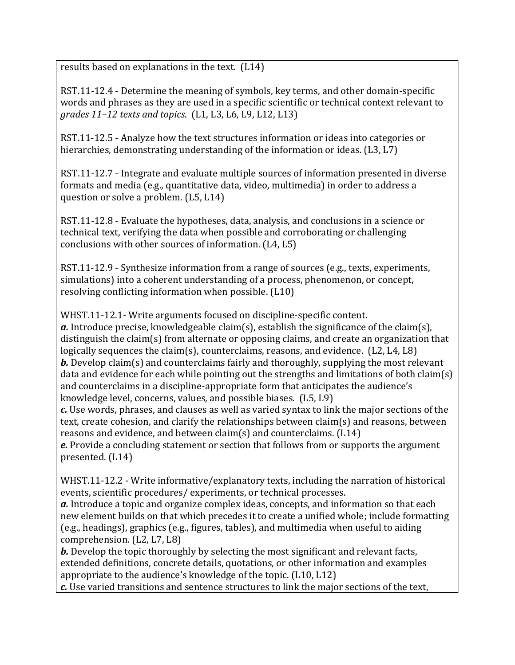results based on explanations in the text. (L14)

RST.11-12.4 - Determine the meaning of symbols, key terms, and other domain-specific words and phrases as they are used in a specific scientific or technical context relevant to *grades 11–12 texts and topics*. (L1, L3, L6, L9, L12, L13)

RST.11-12.5 - Analyze how the text structures information or ideas into categories or hierarchies, demonstrating understanding of the information or ideas. (L3, L7)

RST.11-12.7 - Integrate and evaluate multiple sources of information presented in diverse formats and media (e.g., quantitative data, video, multimedia) in order to address a question or solve a problem. (L5, L14)

RST.11-12.8 - Evaluate the hypotheses, data, analysis, and conclusions in a science or technical text, verifying the data when possible and corroborating or challenging conclusions with other sources of information. (L4, L5)

RST.11-12.9 - Synthesize information from a range of sources (e.g., texts, experiments, simulations) into a coherent understanding of a process, phenomenon, or concept, resolving conflicting information when possible. (L10)

WHST.11-12.1- Write arguments focused on discipline-specific content. *a.* Introduce precise, knowledgeable claim(s), establish the significance of the claim(s), distinguish the claim(s) from alternate or opposing claims, and create an organization that logically sequences the claim(s), counterclaims, reasons, and evidence. (L2, L4, L8) *b.* Develop claim(s) and counterclaims fairly and thoroughly, supplying the most relevant data and evidence for each while pointing out the strengths and limitations of both claim(s) and counterclaims in a discipline-appropriate form that anticipates the audience's knowledge level, concerns, values, and possible biases. (L5, L9)

*c.* Use words, phrases, and clauses as well as varied syntax to link the major sections of the text, create cohesion, and clarify the relationships between claim(s) and reasons, between reasons and evidence, and between claim(s) and counterclaims. (L14)

*e.* Provide a concluding statement or section that follows from or supports the argument presented. (L14)

WHST.11-12.2 - Write informative/explanatory texts, including the narration of historical events, scientific procedures/ experiments, or technical processes.

*a.* Introduce a topic and organize complex ideas, concepts, and information so that each new element builds on that which precedes it to create a unified whole; include formatting (e.g., headings), graphics (e.g., figures, tables), and multimedia when useful to aiding comprehension. (L2, L7, L8)

*b*. Develop the topic thoroughly by selecting the most significant and relevant facts, extended definitions, concrete details, quotations, or other information and examples appropriate to the audience's knowledge of the topic. (L10, L12)

*c.* Use varied transitions and sentence structures to link the major sections of the text,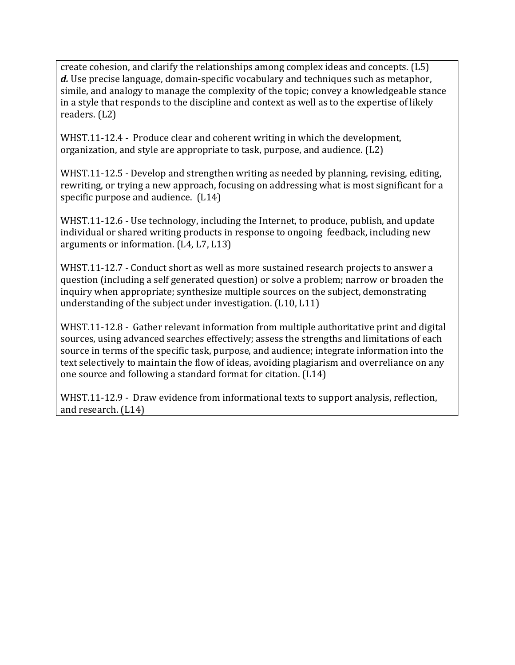create cohesion, and clarify the relationships among complex ideas and concepts. (L5) *d.* Use precise language, domain-specific vocabulary and techniques such as metaphor, simile, and analogy to manage the complexity of the topic; convey a knowledgeable stance in a style that responds to the discipline and context as well as to the expertise of likely readers. (L2)

WHST.11-12.4 - Produce clear and coherent writing in which the development, organization, and style are appropriate to task, purpose, and audience. (L2)

WHST.11-12.5 - Develop and strengthen writing as needed by planning, revising, editing, rewriting, or trying a new approach, focusing on addressing what is most significant for a specific purpose and audience. (L14)

WHST.11-12.6 - Use technology, including the Internet, to produce, publish, and update individual or shared writing products in response to ongoing feedback, including new arguments or information. (L4, L7, L13)

WHST.11-12.7 - Conduct short as well as more sustained research projects to answer a question (including a self generated question) or solve a problem; narrow or broaden the inquiry when appropriate; synthesize multiple sources on the subject, demonstrating understanding of the subject under investigation. (L10, L11)

WHST.11-12.8 - Gather relevant information from multiple authoritative print and digital sources, using advanced searches effectively; assess the strengths and limitations of each source in terms of the specific task, purpose, and audience; integrate information into the text selectively to maintain the flow of ideas, avoiding plagiarism and overreliance on any one source and following a standard format for citation. (L14)

WHST.11-12.9 - Draw evidence from informational texts to support analysis, reflection, and research. (L14)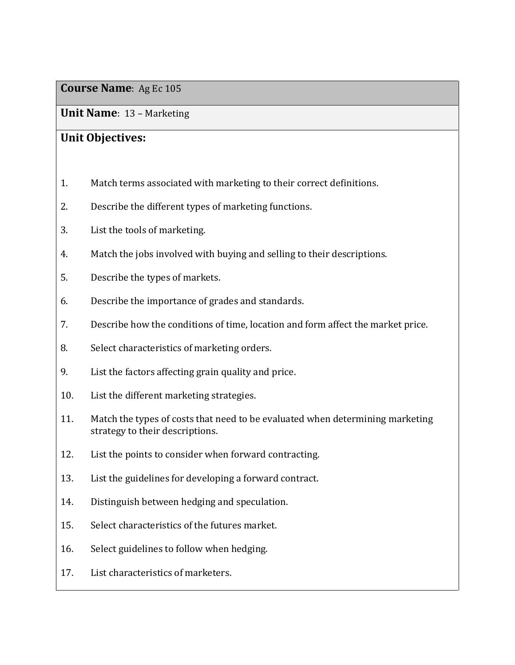**Unit Name**: 13 – Marketing

## **Unit Objectives:**

- 1. Match terms associated with marketing to their correct definitions.
- 2. Describe the different types of marketing functions.
- 3. List the tools of marketing.
- 4. Match the jobs involved with buying and selling to their descriptions.
- 5. Describe the types of markets.
- 6. Describe the importance of grades and standards.
- 7. Describe how the conditions of time, location and form affect the market price.
- 8. Select characteristics of marketing orders.
- 9. List the factors affecting grain quality and price.
- 10. List the different marketing strategies.
- 11. Match the types of costs that need to be evaluated when determining marketing strategy to their descriptions.
- 12. List the points to consider when forward contracting.
- 13. List the guidelines for developing a forward contract.
- 14. Distinguish between hedging and speculation.
- 15. Select characteristics of the futures market.
- 16. Select guidelines to follow when hedging.
- 17. List characteristics of marketers.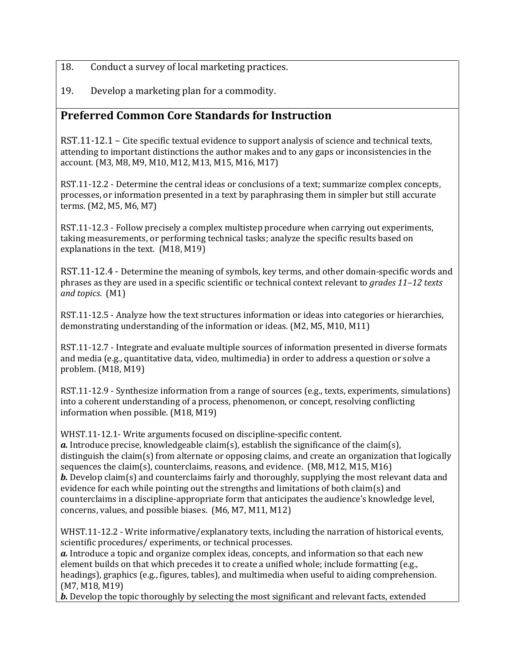- 18. Conduct a survey of local marketing practices.
- 19. Develop a marketing plan for a commodity.

### **Preferred Common Core Standards for Instruction**

RST.11-12.1 – Cite specific textual evidence to support analysis of science and technical texts, attending to important distinctions the author makes and to any gaps or inconsistencies in the account. (M3, M8, M9, M10, M12, M13, M15, M16, M17)

RST.11-12.2 - Determine the central ideas or conclusions of a text; summarize complex concepts, processes, or information presented in a text by paraphrasing them in simpler but still accurate terms. (M2, M5, M6, M7)

RST.11-12.3 - Follow precisely a complex multistep procedure when carrying out experiments, taking measurements, or performing technical tasks; analyze the specific results based on explanations in the text. (M18, M19)

RST.11-12.4 - Determine the meaning of symbols, key terms, and other domain-specific words and phrases as they are used in a specific scientific or technical context relevant to *grades 11–12 texts and topics*. (M1)

RST.11-12.5 - Analyze how the text structures information or ideas into categories or hierarchies, demonstrating understanding of the information or ideas. (M2, M5, M10, M11)

RST.11-12.7 - Integrate and evaluate multiple sources of information presented in diverse formats and media (e.g., quantitative data, video, multimedia) in order to address a question or solve a problem. (M18, M19)

RST.11-12.9 - Synthesize information from a range of sources (e.g., texts, experiments, simulations) into a coherent understanding of a process, phenomenon, or concept, resolving conflicting information when possible. (M18, M19)

WHST.11-12.1- Write arguments focused on discipline-specific content.

*a.* Introduce precise, knowledgeable claim(s), establish the significance of the claim(s), distinguish the claim(s) from alternate or opposing claims, and create an organization that logically sequences the claim(s), counterclaims, reasons, and evidence. (M8, M12, M15, M16) *b.* Develop claim(s) and counterclaims fairly and thoroughly, supplying the most relevant data and evidence for each while pointing out the strengths and limitations of both claim(s) and counterclaims in a discipline-appropriate form that anticipates the audience's knowledge level, concerns, values, and possible biases. (M6, M7, M11, M12)

WHST.11-12.2 - Write informative/explanatory texts, including the narration of historical events, scientific procedures/ experiments, or technical processes.

*a.* Introduce a topic and organize complex ideas, concepts, and information so that each new element builds on that which precedes it to create a unified whole; include formatting (e.g., headings), graphics (e.g., figures, tables), and multimedia when useful to aiding comprehension. (M7, M18, M19)

*b.* Develop the topic thoroughly by selecting the most significant and relevant facts, extended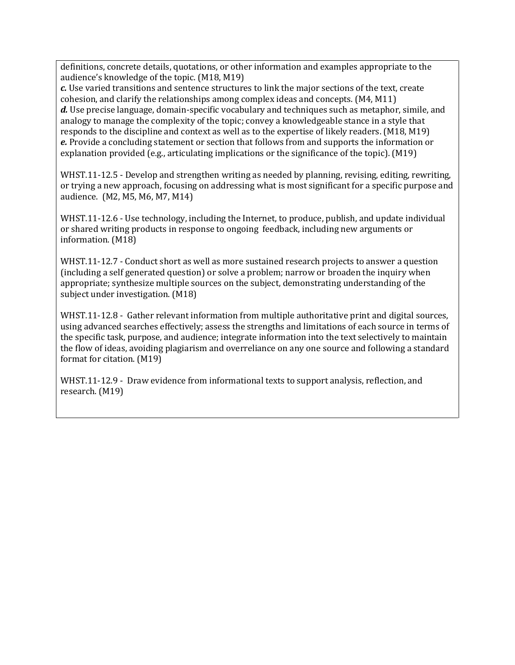definitions, concrete details, quotations, or other information and examples appropriate to the audience's knowledge of the topic. (M18, M19)

*c.* Use varied transitions and sentence structures to link the major sections of the text, create cohesion, and clarify the relationships among complex ideas and concepts. (M4, M11) *d.* Use precise language, domain-specific vocabulary and techniques such as metaphor, simile, and analogy to manage the complexity of the topic; convey a knowledgeable stance in a style that responds to the discipline and context as well as to the expertise of likely readers. (M18, M19) *e.* Provide a concluding statement or section that follows from and supports the information or explanation provided (e.g., articulating implications or the significance of the topic). (M19)

WHST.11-12.5 - Develop and strengthen writing as needed by planning, revising, editing, rewriting, or trying a new approach, focusing on addressing what is most significant for a specific purpose and audience. (M2, M5, M6, M7, M14)

WHST.11-12.6 - Use technology, including the Internet, to produce, publish, and update individual or shared writing products in response to ongoing feedback, including new arguments or information. (M18)

WHST.11-12.7 - Conduct short as well as more sustained research projects to answer a question (including a self generated question) or solve a problem; narrow or broaden the inquiry when appropriate; synthesize multiple sources on the subject, demonstrating understanding of the subject under investigation. (M18)

WHST.11-12.8 - Gather relevant information from multiple authoritative print and digital sources, using advanced searches effectively; assess the strengths and limitations of each source in terms of the specific task, purpose, and audience; integrate information into the text selectively to maintain the flow of ideas, avoiding plagiarism and overreliance on any one source and following a standard format for citation. (M19)

WHST.11-12.9 - Draw evidence from informational texts to support analysis, reflection, and research. (M19)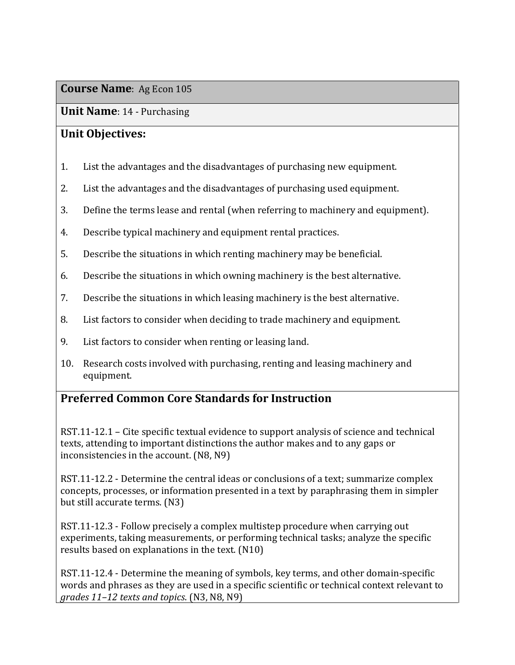**Unit Name**: 14 - Purchasing

### **Unit Objectives:**

- 1. List the advantages and the disadvantages of purchasing new equipment.
- 2. List the advantages and the disadvantages of purchasing used equipment.
- 3. Define the terms lease and rental (when referring to machinery and equipment).
- 4. Describe typical machinery and equipment rental practices.
- 5. Describe the situations in which renting machinery may be beneficial.
- 6. Describe the situations in which owning machinery is the best alternative.
- 7. Describe the situations in which leasing machinery is the best alternative.
- 8. List factors to consider when deciding to trade machinery and equipment.
- 9. List factors to consider when renting or leasing land.
- 10. Research costs involved with purchasing, renting and leasing machinery and equipment.

## **Preferred Common Core Standards for Instruction**

RST.11-12.1 – Cite specific textual evidence to support analysis of science and technical texts, attending to important distinctions the author makes and to any gaps or inconsistencies in the account. (N8, N9)

RST.11-12.2 - Determine the central ideas or conclusions of a text; summarize complex concepts, processes, or information presented in a text by paraphrasing them in simpler but still accurate terms. (N3)

RST.11-12.3 - Follow precisely a complex multistep procedure when carrying out experiments, taking measurements, or performing technical tasks; analyze the specific results based on explanations in the text. (N10)

RST.11-12.4 - Determine the meaning of symbols, key terms, and other domain-specific words and phrases as they are used in a specific scientific or technical context relevant to *grades 11–12 texts and topics*. (N3, N8, N9)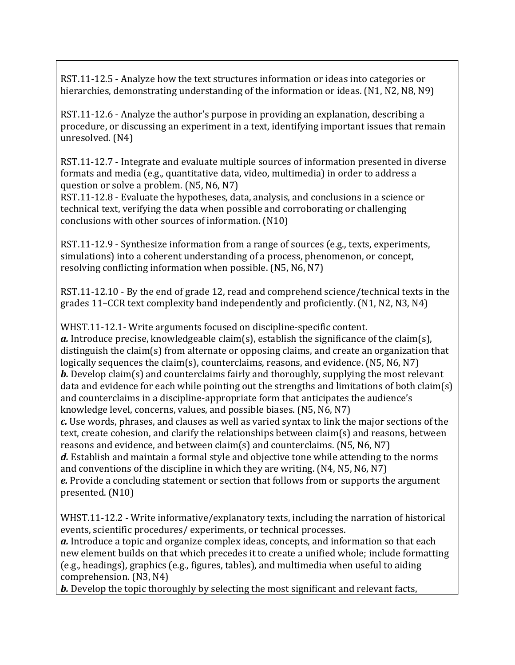RST.11-12.5 - Analyze how the text structures information or ideas into categories or hierarchies, demonstrating understanding of the information or ideas. (N1, N2, N8, N9)

RST.11-12.6 - Analyze the author's purpose in providing an explanation, describing a procedure, or discussing an experiment in a text, identifying important issues that remain unresolved. (N4)

RST.11-12.7 - Integrate and evaluate multiple sources of information presented in diverse formats and media (e.g., quantitative data, video, multimedia) in order to address a question or solve a problem. (N5, N6, N7)

RST.11-12.8 - Evaluate the hypotheses, data, analysis, and conclusions in a science or technical text, verifying the data when possible and corroborating or challenging conclusions with other sources of information. (N10)

RST.11-12.9 - Synthesize information from a range of sources (e.g., texts, experiments, simulations) into a coherent understanding of a process, phenomenon, or concept, resolving conflicting information when possible. (N5, N6, N7)

RST.11-12.10 - By the end of grade 12, read and comprehend science/technical texts in the grades 11–CCR text complexity band independently and proficiently. (N1, N2, N3, N4)

WHST.11-12.1- Write arguments focused on discipline-specific content. *a.* Introduce precise, knowledgeable claim(s), establish the significance of the claim(s), distinguish the claim(s) from alternate or opposing claims, and create an organization that logically sequences the claim(s), counterclaims, reasons, and evidence. (N5, N6, N7) *b.* Develop claim(s) and counterclaims fairly and thoroughly, supplying the most relevant data and evidence for each while pointing out the strengths and limitations of both claim(s) and counterclaims in a discipline-appropriate form that anticipates the audience's knowledge level, concerns, values, and possible biases. (N5, N6, N7) *c.* Use words, phrases, and clauses as well as varied syntax to link the major sections of the text, create cohesion, and clarify the relationships between claim(s) and reasons, between reasons and evidence, and between claim(s) and counterclaims. (N5, N6, N7) *d.* Establish and maintain a formal style and objective tone while attending to the norms and conventions of the discipline in which they are writing. (N4, N5, N6, N7) *e.* Provide a concluding statement or section that follows from or supports the argument presented. (N10)

WHST.11-12.2 - Write informative/explanatory texts, including the narration of historical events, scientific procedures/ experiments, or technical processes.

*a.* Introduce a topic and organize complex ideas, concepts, and information so that each new element builds on that which precedes it to create a unified whole; include formatting (e.g., headings), graphics (e.g., figures, tables), and multimedia when useful to aiding comprehension. (N3, N4)

*b.* Develop the topic thoroughly by selecting the most significant and relevant facts,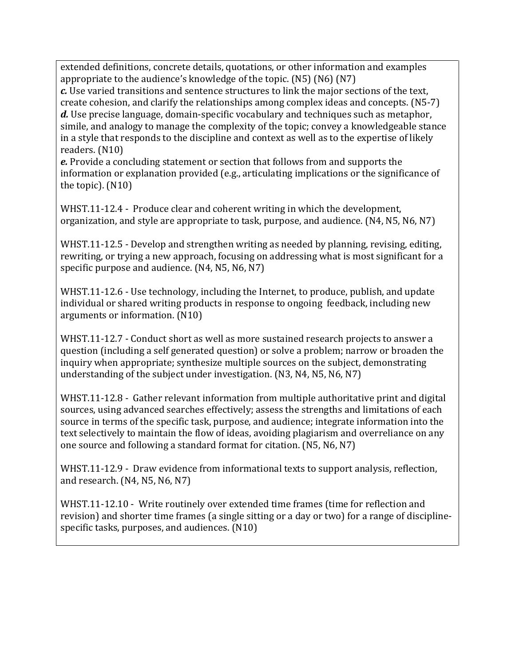extended definitions, concrete details, quotations, or other information and examples appropriate to the audience's knowledge of the topic. (N5) (N6) (N7) *c.* Use varied transitions and sentence structures to link the major sections of the text, create cohesion, and clarify the relationships among complex ideas and concepts. (N5-7) *d.* Use precise language, domain-specific vocabulary and techniques such as metaphor, simile, and analogy to manage the complexity of the topic; convey a knowledgeable stance in a style that responds to the discipline and context as well as to the expertise of likely readers. (N10)

*e.* Provide a concluding statement or section that follows from and supports the information or explanation provided (e.g., articulating implications or the significance of the topic). (N10)

WHST.11-12.4 - Produce clear and coherent writing in which the development, organization, and style are appropriate to task, purpose, and audience. (N4, N5, N6, N7)

WHST.11-12.5 - Develop and strengthen writing as needed by planning, revising, editing, rewriting, or trying a new approach, focusing on addressing what is most significant for a specific purpose and audience. (N4, N5, N6, N7)

WHST.11-12.6 - Use technology, including the Internet, to produce, publish, and update individual or shared writing products in response to ongoing feedback, including new arguments or information. (N10)

WHST.11-12.7 - Conduct short as well as more sustained research projects to answer a question (including a self generated question) or solve a problem; narrow or broaden the inquiry when appropriate; synthesize multiple sources on the subject, demonstrating understanding of the subject under investigation. (N3, N4, N5, N6, N7)

WHST.11-12.8 - Gather relevant information from multiple authoritative print and digital sources, using advanced searches effectively; assess the strengths and limitations of each source in terms of the specific task, purpose, and audience; integrate information into the text selectively to maintain the flow of ideas, avoiding plagiarism and overreliance on any one source and following a standard format for citation. (N5, N6, N7)

WHST.11-12.9 - Draw evidence from informational texts to support analysis, reflection, and research. (N4, N5, N6, N7)

WHST.11-12.10 - Write routinely over extended time frames (time for reflection and revision) and shorter time frames (a single sitting or a day or two) for a range of disciplinespecific tasks, purposes, and audiences. (N10)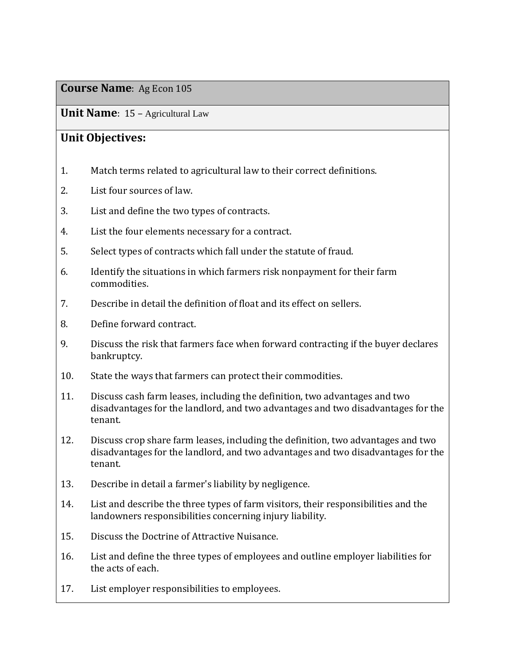**Unit Name**: 15 – Agricultural Law

## **Unit Objectives:**

- 1. Match terms related to agricultural law to their correct definitions.
- 2. List four sources of law.
- 3. List and define the two types of contracts.
- 4. List the four elements necessary for a contract.
- 5. Select types of contracts which fall under the statute of fraud.
- 6. Identify the situations in which farmers risk nonpayment for their farm commodities.
- 7. Describe in detail the definition of float and its effect on sellers.
- 8. Define forward contract.
- 9. Discuss the risk that farmers face when forward contracting if the buyer declares bankruptcy.
- 10. State the ways that farmers can protect their commodities.
- 11. Discuss cash farm leases, including the definition, two advantages and two disadvantages for the landlord, and two advantages and two disadvantages for the tenant.
- 12. Discuss crop share farm leases, including the definition, two advantages and two disadvantages for the landlord, and two advantages and two disadvantages for the tenant.
- 13. Describe in detail a farmer's liability by negligence.
- 14. List and describe the three types of farm visitors, their responsibilities and the landowners responsibilities concerning injury liability.
- 15. Discuss the Doctrine of Attractive Nuisance.
- 16. List and define the three types of employees and outline employer liabilities for the acts of each.
- 17. List employer responsibilities to employees.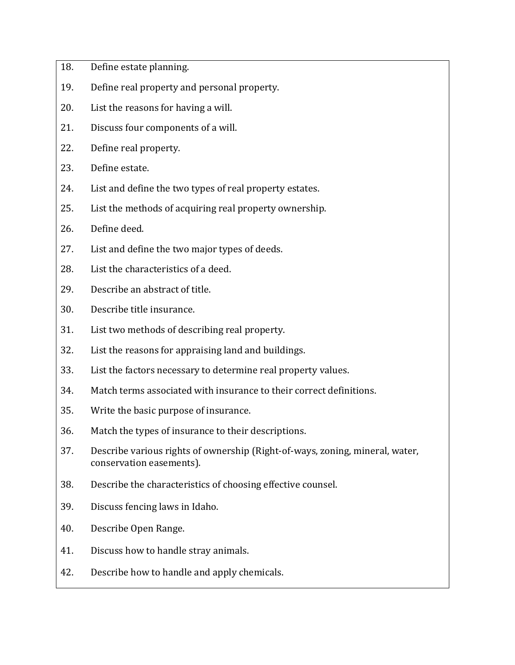- 18. Define estate planning.
- 19. Define real property and personal property.
- 20. List the reasons for having a will.
- 21. Discuss four components of a will.
- 22. Define real property.
- 23. Define estate.
- 24. List and define the two types of real property estates.
- 25. List the methods of acquiring real property ownership.
- 26. Define deed.
- 27. List and define the two major types of deeds.
- 28. List the characteristics of a deed.
- 29. Describe an abstract of title.
- 30. Describe title insurance.
- 31. List two methods of describing real property.
- 32. List the reasons for appraising land and buildings.
- 33. List the factors necessary to determine real property values.
- 34. Match terms associated with insurance to their correct definitions.
- 35. Write the basic purpose of insurance.
- 36. Match the types of insurance to their descriptions.
- 37. Describe various rights of ownership (Right-of-ways, zoning, mineral, water, conservation easements).
- 38. Describe the characteristics of choosing effective counsel.
- 39. Discuss fencing laws in Idaho.
- 40. Describe Open Range.
- 41. Discuss how to handle stray animals.
- 42. Describe how to handle and apply chemicals.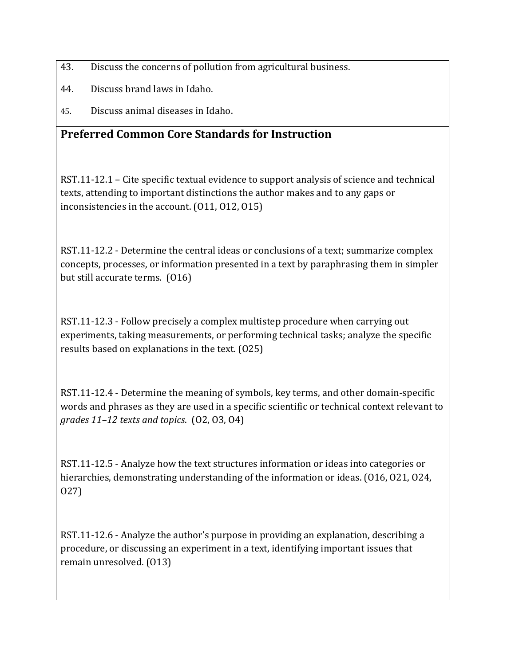- 43. Discuss the concerns of pollution from agricultural business.
- 44. Discuss brand laws in Idaho.
- 45. Discuss animal diseases in Idaho.

## **Preferred Common Core Standards for Instruction**

RST.11-12.1 – Cite specific textual evidence to support analysis of science and technical texts, attending to important distinctions the author makes and to any gaps or inconsistencies in the account. (O11, O12, O15)

RST.11-12.2 - Determine the central ideas or conclusions of a text; summarize complex concepts, processes, or information presented in a text by paraphrasing them in simpler but still accurate terms. (O16)

RST.11-12.3 - Follow precisely a complex multistep procedure when carrying out experiments, taking measurements, or performing technical tasks; analyze the specific results based on explanations in the text. (O25)

RST.11-12.4 - Determine the meaning of symbols, key terms, and other domain-specific words and phrases as they are used in a specific scientific or technical context relevant to *grades 11–12 texts and topics*. (O2, O3, O4)

RST.11-12.5 - Analyze how the text structures information or ideas into categories or hierarchies, demonstrating understanding of the information or ideas. (O16, O21, O24, O27)

RST.11-12.6 - Analyze the author's purpose in providing an explanation, describing a procedure, or discussing an experiment in a text, identifying important issues that remain unresolved. (O13)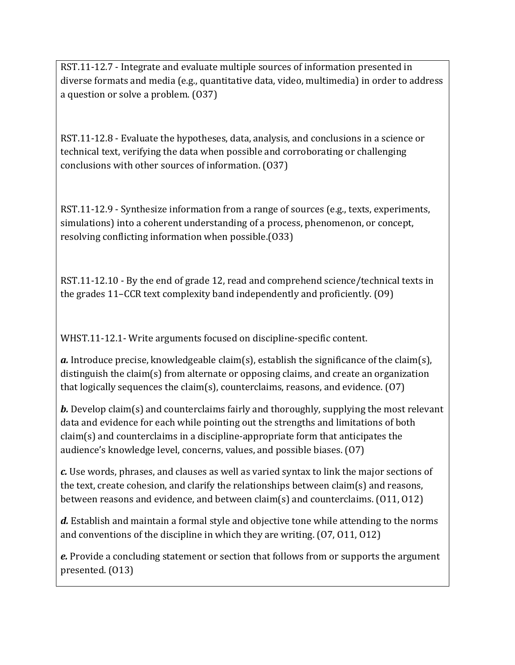RST.11-12.7 - Integrate and evaluate multiple sources of information presented in diverse formats and media (e.g., quantitative data, video, multimedia) in order to address a question or solve a problem. (O37)

RST.11-12.8 - Evaluate the hypotheses, data, analysis, and conclusions in a science or technical text, verifying the data when possible and corroborating or challenging conclusions with other sources of information. (O37)

RST.11-12.9 - Synthesize information from a range of sources (e.g., texts, experiments, simulations) into a coherent understanding of a process, phenomenon, or concept, resolving conflicting information when possible.(O33)

RST.11-12.10 - By the end of grade 12, read and comprehend science/technical texts in the grades 11–CCR text complexity band independently and proficiently. (O9)

WHST.11-12.1- Write arguments focused on discipline-specific content.

*a.* Introduce precise, knowledgeable claim(s), establish the significance of the claim(s), distinguish the claim(s) from alternate or opposing claims, and create an organization that logically sequences the claim(s), counterclaims, reasons, and evidence. (O7)

*b.* Develop claim(s) and counterclaims fairly and thoroughly, supplying the most relevant data and evidence for each while pointing out the strengths and limitations of both claim(s) and counterclaims in a discipline-appropriate form that anticipates the audience's knowledge level, concerns, values, and possible biases. (O7)

*c.* Use words, phrases, and clauses as well as varied syntax to link the major sections of the text, create cohesion, and clarify the relationships between claim(s) and reasons, between reasons and evidence, and between claim(s) and counterclaims. (O11, O12)

*d.* Establish and maintain a formal style and objective tone while attending to the norms and conventions of the discipline in which they are writing. (O7, O11, O12)

*e.* Provide a concluding statement or section that follows from or supports the argument presented. (O13)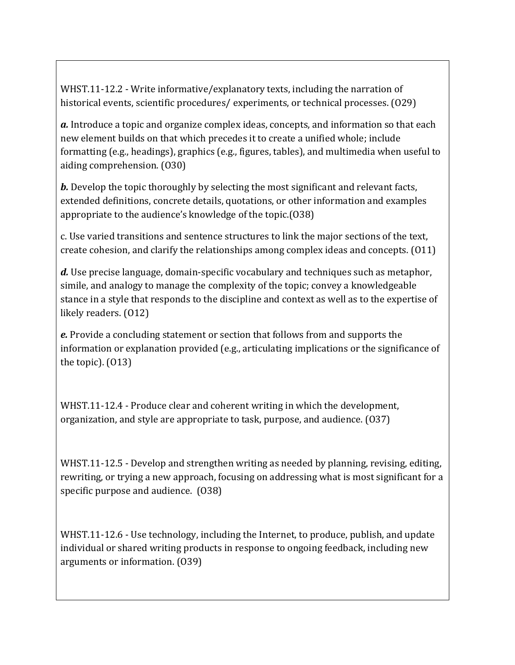WHST.11-12.2 - Write informative/explanatory texts, including the narration of historical events, scientific procedures/experiments, or technical processes. (029)

*a.* Introduce a topic and organize complex ideas, concepts, and information so that each new element builds on that which precedes it to create a unified whole; include formatting (e.g., headings), graphics (e.g., figures, tables), and multimedia when useful to aiding comprehension. (O30)

*b*. Develop the topic thoroughly by selecting the most significant and relevant facts, extended definitions, concrete details, quotations, or other information and examples appropriate to the audience's knowledge of the topic.(O38)

c. Use varied transitions and sentence structures to link the major sections of the text, create cohesion, and clarify the relationships among complex ideas and concepts. (O11)

*d.* Use precise language, domain-specific vocabulary and techniques such as metaphor, simile, and analogy to manage the complexity of the topic; convey a knowledgeable stance in a style that responds to the discipline and context as well as to the expertise of likely readers. (O12)

*e.* Provide a concluding statement or section that follows from and supports the information or explanation provided (e.g., articulating implications or the significance of the topic). (O13)

WHST.11-12.4 - Produce clear and coherent writing in which the development, organization, and style are appropriate to task, purpose, and audience. (O37)

WHST.11-12.5 - Develop and strengthen writing as needed by planning, revising, editing, rewriting, or trying a new approach, focusing on addressing what is most significant for a specific purpose and audience. (O38)

WHST.11-12.6 - Use technology, including the Internet, to produce, publish, and update individual or shared writing products in response to ongoing feedback, including new arguments or information. (O39)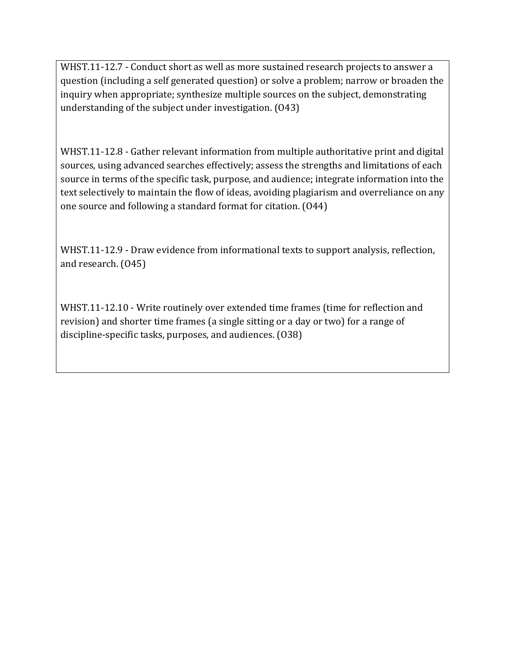WHST.11-12.7 - Conduct short as well as more sustained research projects to answer a question (including a self generated question) or solve a problem; narrow or broaden the inquiry when appropriate; synthesize multiple sources on the subject, demonstrating understanding of the subject under investigation. (O43)

WHST.11-12.8 - Gather relevant information from multiple authoritative print and digital sources, using advanced searches effectively; assess the strengths and limitations of each source in terms of the specific task, purpose, and audience; integrate information into the text selectively to maintain the flow of ideas, avoiding plagiarism and overreliance on any one source and following a standard format for citation. (O44)

WHST.11-12.9 - Draw evidence from informational texts to support analysis, reflection, and research. (O45)

WHST.11-12.10 - Write routinely over extended time frames (time for reflection and revision) and shorter time frames (a single sitting or a day or two) for a range of discipline-specific tasks, purposes, and audiences. (O38)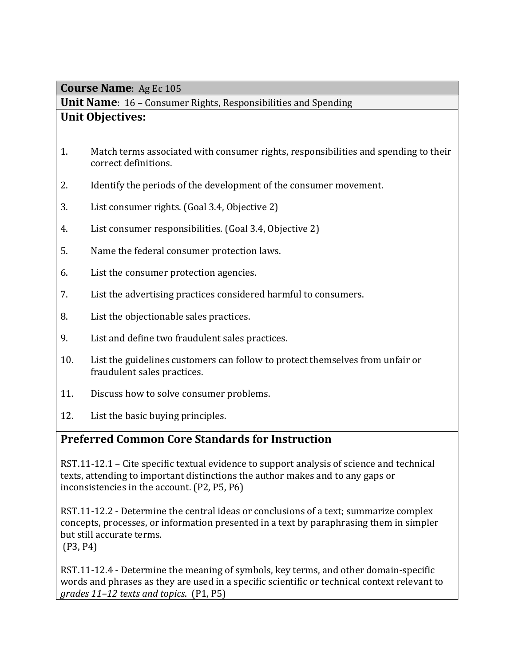**Unit Name**: 16 – Consumer Rights, Responsibilities and Spending

## **Unit Objectives:**

- 1. Match terms associated with consumer rights, responsibilities and spending to their correct definitions.
- 2. Identify the periods of the development of the consumer movement.
- 3. List consumer rights. (Goal 3.4, Objective 2)
- 4. List consumer responsibilities. (Goal 3.4, Objective 2)
- 5. Name the federal consumer protection laws.
- 6. List the consumer protection agencies.
- 7. List the advertising practices considered harmful to consumers.
- 8. List the objectionable sales practices.
- 9. List and define two fraudulent sales practices.
- 10. List the guidelines customers can follow to protect themselves from unfair or fraudulent sales practices.
- 11. Discuss how to solve consumer problems.
- 12. List the basic buying principles.

## **Preferred Common Core Standards for Instruction**

RST.11-12.1 – Cite specific textual evidence to support analysis of science and technical texts, attending to important distinctions the author makes and to any gaps or inconsistencies in the account. (P2, P5, P6)

RST.11-12.2 - Determine the central ideas or conclusions of a text; summarize complex concepts, processes, or information presented in a text by paraphrasing them in simpler but still accurate terms.

(P3, P4)

RST.11-12.4 - Determine the meaning of symbols, key terms, and other domain-specific words and phrases as they are used in a specific scientific or technical context relevant to *grades 11–12 texts and topics*. (P1, P5)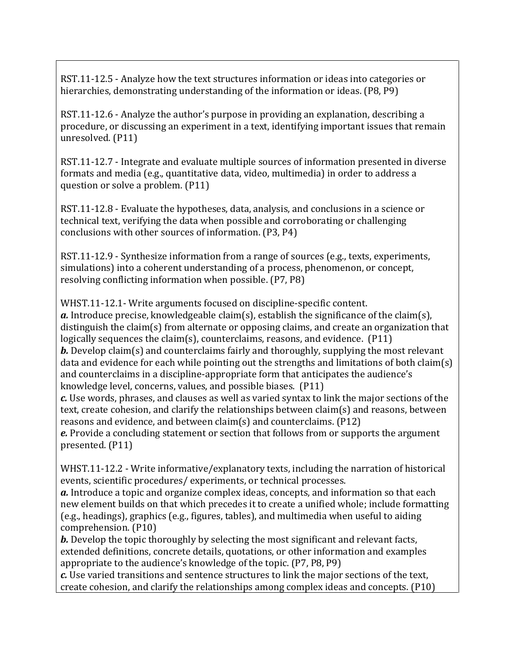RST.11-12.5 - Analyze how the text structures information or ideas into categories or hierarchies, demonstrating understanding of the information or ideas. (P8, P9)

RST.11-12.6 - Analyze the author's purpose in providing an explanation, describing a procedure, or discussing an experiment in a text, identifying important issues that remain unresolved. (P11)

RST.11-12.7 - Integrate and evaluate multiple sources of information presented in diverse formats and media (e.g., quantitative data, video, multimedia) in order to address a question or solve a problem. (P11)

RST.11-12.8 - Evaluate the hypotheses, data, analysis, and conclusions in a science or technical text, verifying the data when possible and corroborating or challenging conclusions with other sources of information. (P3, P4)

RST.11-12.9 - Synthesize information from a range of sources (e.g., texts, experiments, simulations) into a coherent understanding of a process, phenomenon, or concept, resolving conflicting information when possible. (P7, P8)

WHST.11-12.1- Write arguments focused on discipline-specific content. *a.* Introduce precise, knowledgeable claim(s), establish the significance of the claim(s), distinguish the claim(s) from alternate or opposing claims, and create an organization that logically sequences the claim(s), counterclaims, reasons, and evidence.  $(P11)$ *b*. Develop claim(s) and counterclaims fairly and thoroughly, supplying the most relevant data and evidence for each while pointing out the strengths and limitations of both claim(s) and counterclaims in a discipline-appropriate form that anticipates the audience's knowledge level, concerns, values, and possible biases. (P11)

*c.* Use words, phrases, and clauses as well as varied syntax to link the major sections of the text, create cohesion, and clarify the relationships between claim(s) and reasons, between reasons and evidence, and between claim(s) and counterclaims. (P12)

*e.* Provide a concluding statement or section that follows from or supports the argument presented. (P11)

WHST.11-12.2 - Write informative/explanatory texts, including the narration of historical events, scientific procedures/ experiments, or technical processes.

*a.* Introduce a topic and organize complex ideas, concepts, and information so that each new element builds on that which precedes it to create a unified whole; include formatting (e.g., headings), graphics (e.g., figures, tables), and multimedia when useful to aiding comprehension. (P10)

*b.* Develop the topic thoroughly by selecting the most significant and relevant facts, extended definitions, concrete details, quotations, or other information and examples appropriate to the audience's knowledge of the topic. (P7, P8, P9)

*c.* Use varied transitions and sentence structures to link the major sections of the text, create cohesion, and clarify the relationships among complex ideas and concepts. (P10)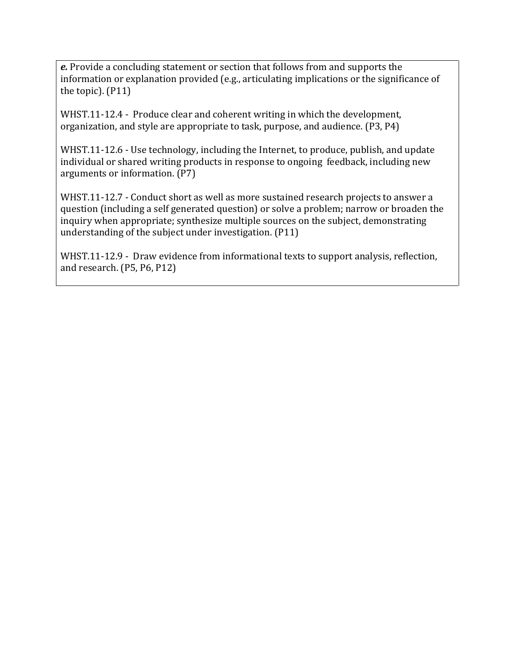*e.* Provide a concluding statement or section that follows from and supports the information or explanation provided (e.g., articulating implications or the significance of the topic). (P11)

WHST.11-12.4 - Produce clear and coherent writing in which the development, organization, and style are appropriate to task, purpose, and audience. (P3, P4)

WHST.11-12.6 - Use technology, including the Internet, to produce, publish, and update individual or shared writing products in response to ongoing feedback, including new arguments or information. (P7)

WHST.11-12.7 - Conduct short as well as more sustained research projects to answer a question (including a self generated question) or solve a problem; narrow or broaden the inquiry when appropriate; synthesize multiple sources on the subject, demonstrating understanding of the subject under investigation. (P11)

WHST.11-12.9 - Draw evidence from informational texts to support analysis, reflection, and research. (P5, P6, P12)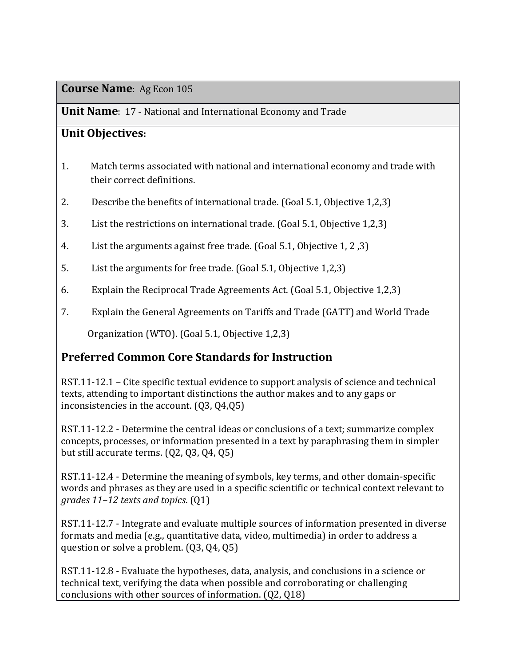**Unit Name**: 17 - National and International Economy and Trade

## **Unit Objectives:**

- 1. Match terms associated with national and international economy and trade with their correct definitions.
- 2. Describe the benefits of international trade. (Goal 5.1, Objective 1,2,3)
- 3. List the restrictions on international trade. (Goal 5.1, Objective 1,2,3)
- 4. List the arguments against free trade. (Goal 5.1, Objective 1, 2 ,3)
- 5. List the arguments for free trade. (Goal 5.1, Objective 1,2,3)
- 6. Explain the Reciprocal Trade Agreements Act. (Goal 5.1, Objective 1,2,3)
- 7. Explain the General Agreements on Tariffs and Trade (GATT) and World Trade

Organization (WTO). (Goal 5.1, Objective 1,2,3)

## **Preferred Common Core Standards for Instruction**

RST.11-12.1 – Cite specific textual evidence to support analysis of science and technical texts, attending to important distinctions the author makes and to any gaps or inconsistencies in the account. (Q3, Q4,Q5)

RST.11-12.2 - Determine the central ideas or conclusions of a text; summarize complex concepts, processes, or information presented in a text by paraphrasing them in simpler but still accurate terms. (Q2, Q3, Q4, Q5)

RST.11-12.4 - Determine the meaning of symbols, key terms, and other domain-specific words and phrases as they are used in a specific scientific or technical context relevant to *grades 11–12 texts and topics*. (Q1)

RST.11-12.7 - Integrate and evaluate multiple sources of information presented in diverse formats and media (e.g., quantitative data, video, multimedia) in order to address a question or solve a problem. (Q3, Q4, Q5)

RST.11-12.8 - Evaluate the hypotheses, data, analysis, and conclusions in a science or technical text, verifying the data when possible and corroborating or challenging conclusions with other sources of information. (Q2, Q18)